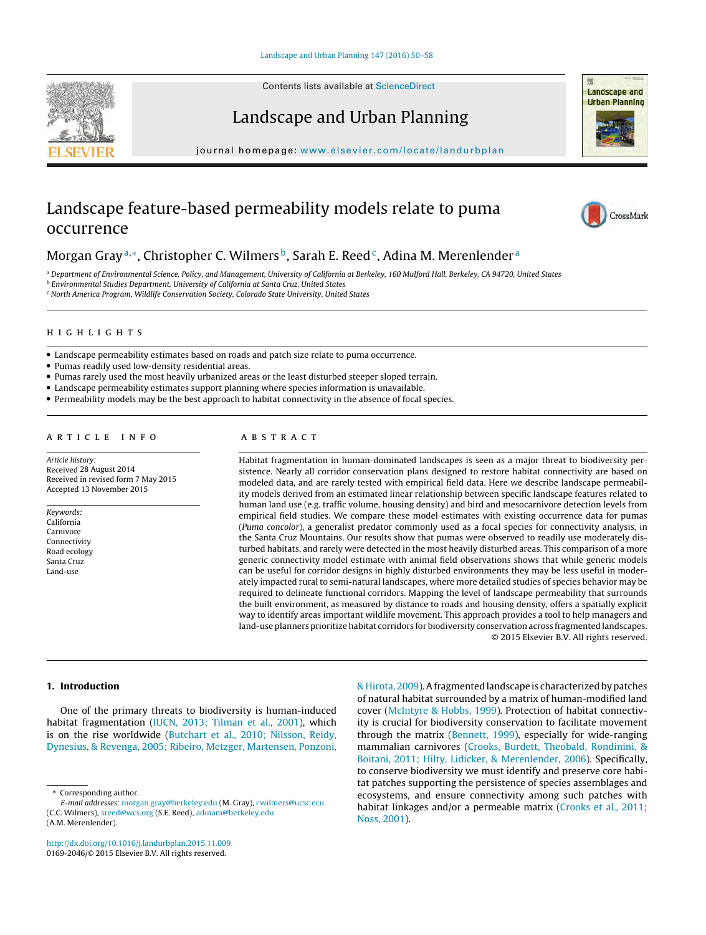Contents lists available at [ScienceDirect](http://www.sciencedirect.com/science/journal/01692046)





# Landscape and Urban Planning

iournal homepage: [www.elsevier.com/locate/landurbplan](http://www.elsevier.com/locate/landurbplan)

# Landscape feature-based permeability models relate to puma occurrence



# Morgan Gray<sup>a,∗</sup>, Christopher C. Wilmers<sup>b</sup>, Sarah E. Reed<sup>c</sup>, Adina M. Merenlender<sup>a</sup>

a Department of Environmental Science, Policy, and Management, University of California at Berkeley, 160 Mulford Hall, Berkeley, CA 94720, United States

<sup>b</sup> Environmental Studies Department, University of California at Santa Cruz, United States

<sup>c</sup> North America Program, Wildlife Conservation Society, Colorado State University, United States

- Landscape permeability estimates based on roads and patch size relate to puma occurrence.
- Pumas readily used low-density residential areas.
- Pumas rarely used the most heavily urbanized areas or the least disturbed steeper sloped terrain.
- Landscape permeability estimates support planning where species information is unavailable.
- Permeability models may be the best approach to habitat connectivity in the absence of focal species.

Article history: Received 28 August 2014 Received in revised form 7 May 2015 Accepted 13 November 2015

Keywords: California Carnivore Connectivity Road ecology Santa Cruz Land-use

Habitat fragmentation in human-dominated landscapes is seen as a major threat to biodiversity persistence. Nearly all corridor conservation plans designed to restore habitat connectivity are based on modeled data, and are rarely tested with empirical field data. Here we describe landscape permeability models derived from an estimated linear relationship between specific landscape features related to human land use (e.g. traffic volume, housing density) and bird and mesocarnivore detection levels from empirical field studies. We compare these model estimates with existing occurrence data for pumas (Puma concolor), a generalist predator commonly used as a focal species for connectivity analysis, in the Santa Cruz Mountains. Our results show that pumas were observed to readily use moderately disturbed habitats, and rarely were detected in the most heavily disturbed areas. This comparison of a more generic connectivity model estimate with animal field observations shows that while generic models can be useful for corridor designs in highly disturbed environments they may be less useful in moderately impacted rural to semi-natural landscapes, where more detailed studies of species behavior may be required to delineate functional corridors. Mapping the level of landscape permeability that surrounds the built environment, as measured by distance to roads and housing density, offers a spatially explicit way to identify areas important wildlife movement. This approach provides a tool to help managers and land-use planners prioritize habitat corridors for biodiversity conservation across fragmented landscapes. © 2015 Elsevier B.V. All rights reserved.

## **1. Introduction**

One of the primary threats to biodiversity is human-induced habitat fragmentation [\(IUCN,](#page-7-0) [2013;](#page-7-0) [Tilman](#page-7-0) et [al.,](#page-7-0) [2001\),](#page-7-0) which is on the rise worldwide ([Butchart](#page-7-0) et [al.,](#page-7-0) [2010;](#page-7-0) [Nilsson,](#page-7-0) [Reidy,](#page-7-0) [Dynesius,](#page-7-0) [&](#page-7-0) [Revenga,](#page-7-0) [2005;](#page-7-0) [Ribeiro,](#page-7-0) [Metzger,](#page-7-0) [Martensen,](#page-7-0) [Ponzoni,](#page-7-0)

[http://dx.doi.org/10.1016/j.landurbplan.2015.11.009](dx.doi.org/10.1016/j.landurbplan.2015.11.009) 0169-2046/© 2015 Elsevier B.V. All rights reserved.

[&Hirota,](#page-7-0) [2009\).](#page-7-0)Afragmentedlandscape is characterizedbypatches of natural habitat surrounded by a matrix of human-modified land cover [\(McIntyre](#page-7-0) [&](#page-7-0) [Hobbs,](#page-7-0) [1999\).](#page-7-0) Protection of habitat connectivity is crucial for biodiversity conservation to facilitate movement through the matrix [\(Bennett,](#page-7-0) [1999\),](#page-7-0) especially for wide-ranging mammalian carnivores [\(Crooks,](#page-7-0) [Burdett,](#page-7-0) [Theobald,](#page-7-0) [Rondinini,](#page-7-0) [&](#page-7-0) [Boitani,](#page-7-0) [2011;](#page-7-0) [Hilty,](#page-7-0) [Lidicker,](#page-7-0) [&](#page-7-0) [Merenlender,](#page-7-0) [2006\).](#page-7-0) Specifically, to conserve biodiversity we must identify and preserve core habitat patches supporting the persistence of species assemblages and ecosystems, and ensure connectivity among such patches with habitat linkages and/or a permeable matrix [\(Crooks](#page-7-0) et [al.,](#page-7-0) [2011;](#page-7-0) [Noss,](#page-7-0) [2001\).](#page-7-0)

<sup>∗</sup> Corresponding author.

E-mail addresses: [morgan.gray@berkeley.edu](mailto:morgan.gray@berkeley.edu) (M. Gray), [cwilmers@ucsc.ecu](mailto:cwilmers@ucsc.ecu) (C.C. Wilmers), [sreed@wcs.org](mailto:sreed@wcs.org) (S.E. Reed), [adinam@berkeley.edu](mailto:adinam@berkeley.edu) (A.M. Merenlender).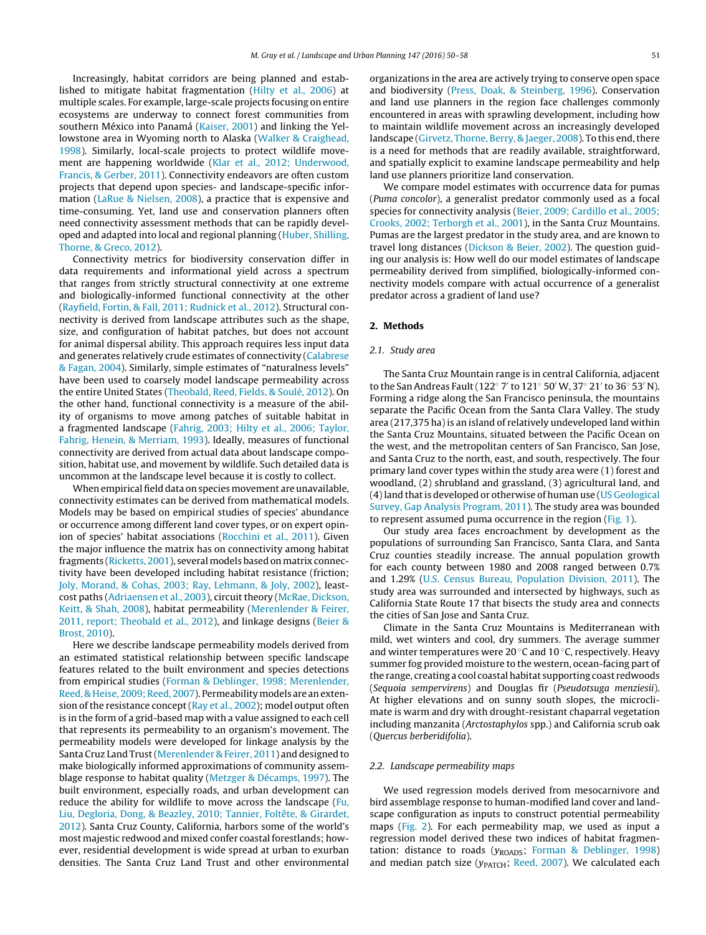Increasingly, habitat corridors are being planned and established to mitigate habitat fragmentation [\(Hilty](#page-7-0) et [al.,](#page-7-0) [2006\)](#page-7-0) at multiple scales. For example, large-scale projects focusing on entire ecosystems are underway to connect forest communities from southern México into Panamá [\(Kaiser,](#page-7-0) [2001\)](#page-7-0) and linking the Yellowstone area in Wyoming north to Alaska [\(Walker](#page-8-0) [&](#page-8-0) [Craighead,](#page-8-0) [1998\).](#page-8-0) Similarly, local-scale projects to protect wildlife movement are happening worldwide ([Klar](#page-7-0) et [al.,](#page-7-0) [2012;](#page-7-0) [Underwood,](#page-7-0) [Francis,](#page-7-0) [&](#page-7-0) [Gerber,](#page-7-0) [2011\).](#page-7-0) Connectivity endeavors are often custom projects that depend upon species- and landscape-specific information ([LaRue](#page-7-0) [&](#page-7-0) [Nielsen,](#page-7-0) [2008\),](#page-7-0) a practice that is expensive and time-consuming. Yet, land use and conservation planners often need connectivity assessment methods that can be rapidly developed and adapted into local and regional planning [\(Huber,](#page-7-0) [Shilling,](#page-7-0) [Thorne,](#page-7-0) [&](#page-7-0) [Greco,](#page-7-0) [2012\).](#page-7-0)

Connectivity metrics for biodiversity conservation differ in data requirements and informational yield across a spectrum that ranges from strictly structural connectivity at one extreme and biologically-informed functional connectivity at the other ([Rayfield,](#page-7-0) [Fortin,](#page-7-0) [&](#page-7-0) [Fall,](#page-7-0) [2011;](#page-7-0) [Rudnick](#page-7-0) et [al.,](#page-7-0) [2012\).](#page-7-0) Structural connectivity is derived from landscape attributes such as the shape, size, and configuration of habitat patches, but does not account for animal dispersal ability. This approach requires less input data and generates relatively crude estimates of connectivity ([Calabrese](#page-7-0) [&](#page-7-0) [Fagan,](#page-7-0) [2004\).](#page-7-0) Similarly, simple estimates of "naturalness levels" have been used to coarsely model landscape permeability across the entire United States [\(Theobald,](#page-8-0) [Reed,](#page-8-0) [Fields,](#page-8-0) [&](#page-8-0) [Soulé,](#page-8-0) [2012\).](#page-8-0) On the other hand, functional connectivity is a measure of the ability of organisms to move among patches of suitable habitat in a fragmented landscape [\(Fahrig,](#page-7-0) [2003;](#page-7-0) [Hilty](#page-7-0) et [al.,](#page-7-0) [2006;](#page-7-0) [Taylor,](#page-7-0) [Fahrig,](#page-7-0) [Henein,](#page-7-0) [&](#page-7-0) [Merriam,](#page-7-0) [1993\).](#page-7-0) Ideally, measures of functional connectivity are derived from actual data about landscape composition, habitat use, and movement by wildlife. Such detailed data is uncommon at the landscape level because it is costly to collect.

When empirical field data on species movement are unavailable, connectivity estimates can be derived from mathematical models. Models may be based on empirical studies of species' abundance or occurrence among different land cover types, or on expert opinion of species' habitat associations [\(Rocchini](#page-7-0) et [al.,](#page-7-0) [2011\).](#page-7-0) Given the major influence the matrix has on connectivity among habitat fragments ([Ricketts,](#page-7-0) [2001\),](#page-7-0) several models based on matrix connectivity have been developed including habitat resistance (friction; [Joly,](#page-7-0) [Morand,](#page-7-0) [&](#page-7-0) [Cohas,](#page-7-0) [2003;](#page-7-0) [Ray,](#page-7-0) [Lehmann,](#page-7-0) [&](#page-7-0) [Joly,](#page-7-0) [2002\),](#page-7-0) leastcost paths ([Adriaensen](#page-7-0) et [al.,](#page-7-0) [2003\),](#page-7-0) circuit theory ([McRae,](#page-7-0) [Dickson,](#page-7-0) [Keitt,](#page-7-0) [&](#page-7-0) [Shah,](#page-7-0) [2008\),](#page-7-0) habitat permeability [\(Merenlender](#page-7-0) [&](#page-7-0) [Feirer,](#page-7-0) [2011,](#page-7-0) [report;](#page-7-0) [Theobald](#page-7-0) et [al.,](#page-7-0) [2012\),](#page-7-0) and linkage designs [\(Beier](#page-7-0) [&](#page-7-0) [Brost,](#page-7-0) [2010\).](#page-7-0)

Here we describe landscape permeability models derived from an estimated statistical relationship between specific landscape features related to the built environment and species detections from empirical studies ([Forman](#page-7-0) [&](#page-7-0) [Deblinger,](#page-7-0) [1998;](#page-7-0) [Merenlender,](#page-7-0) [Reed,](#page-7-0) [&](#page-7-0) [Heise,](#page-7-0) 2009; Reed, [2007\).](#page-7-0) Permeability models are an exten-sion of the resistance concept ([Ray](#page-7-0) et [al.,](#page-7-0) [2002\);](#page-7-0) model output often is in the form of a grid-based map with a value assigned to each cell that represents its permeability to an organism's movement. The permeability models were developed for linkage analysis by the Santa Cruz Land Trust[\(Merenlender](#page-7-0) [&](#page-7-0) [Feirer,](#page-7-0) [2011\)](#page-7-0) and designed to make biologically informed approximations of community assemblage response to habitat quality [\(Metzger](#page-7-0) [&](#page-7-0) [Décamps,](#page-7-0) [1997\).](#page-7-0) The built environment, especially roads, and urban development can reduce the ability for wildlife to move across the landscape [\(Fu,](#page-7-0) [Liu,](#page-7-0) [Degloria,](#page-7-0) [Dong,](#page-7-0) [&](#page-7-0) [Beazley,](#page-7-0) [2010;](#page-7-0) [Tannier,](#page-7-0) [Foltête,](#page-7-0) [&](#page-7-0) [Girardet,](#page-7-0) [2012\).](#page-7-0) Santa Cruz County, California, harbors some of the world's most majestic redwood and mixed confer coastal forestlands; however, residential development is wide spread at urban to exurban densities. The Santa Cruz Land Trust and other environmental

organizations in the area are actively trying to conserve open space and biodiversity ([Press,](#page-7-0) [Doak,](#page-7-0) [&](#page-7-0) [Steinberg,](#page-7-0) [1996\).](#page-7-0) Conservation and land use planners in the region face challenges commonly encountered in areas with sprawling development, including how to maintain wildlife movement across an increasingly developed landscape ([Girvetz,](#page-7-0) [Thorne,](#page-7-0) [Berry,](#page-7-0) [&](#page-7-0) [Jaeger,](#page-7-0) [2008\).](#page-7-0) To this end, there is a need for methods that are readily available, straightforward, and spatially explicit to examine landscape permeability and help land use planners prioritize land conservation.

We compare model estimates with occurrence data for pumas (Puma concolor), a generalist predator commonly used as a focal species for connectivity analysis ([Beier,](#page-7-0) [2009;](#page-7-0) [Cardillo](#page-7-0) et [al.,](#page-7-0) [2005;](#page-7-0) [Crooks,](#page-7-0) [2002;](#page-7-0) [Terborgh](#page-7-0) et [al.,](#page-7-0) [2001\),](#page-7-0) in the Santa Cruz Mountains. Pumas are the largest predator in the study area, and are known to travel long distances ([Dickson](#page-7-0) [&](#page-7-0) [Beier,](#page-7-0) [2002\).](#page-7-0) The question guiding our analysis is: How well do our model estimates of landscape permeability derived from simplified, biologically-informed connectivity models compare with actual occurrence of a generalist predator across a gradient of land use?

### **2. Methods**

#### 2.1. Study area

The Santa Cruz Mountain range is in central California, adjacent to the San Andreas Fault (122° 7' to 121° 50' W, 37° 21' to 36° 53' N). Forming a ridge along the San Francisco peninsula, the mountains separate the Pacific Ocean from the Santa Clara Valley. The study area (217,375 ha) is an island of relatively undeveloped land within the Santa Cruz Mountains, situated between the Pacific Ocean on the west, and the metropolitan centers of San Francisco, San Jose, and Santa Cruz to the north, east, and south, respectively. The four primary land cover types within the study area were (1) forest and woodland, (2) shrubland and grassland, (3) agricultural land, and (4) land that is developed or otherwise of human use [\(US](#page-8-0) [Geological](#page-8-0) [Survey,](#page-8-0) [Gap](#page-8-0) [Analysis](#page-8-0) [Program,](#page-8-0) [2011\).](#page-8-0) The study area was bounded to represent assumed puma occurrence in the region [\(Fig.](#page-2-0) 1).

Our study area faces encroachment by development as the populations of surrounding San Francisco, Santa Clara, and Santa Cruz counties steadily increase. The annual population growth for each county between 1980 and 2008 ranged between 0.7% and 1.29% ([U.S.](#page-7-0) [Census](#page-7-0) [Bureau,](#page-7-0) [Population](#page-7-0) [Division,](#page-7-0) [2011\).](#page-7-0) The study area was surrounded and intersected by highways, such as California State Route 17 that bisects the study area and connects the cities of San Jose and Santa Cruz.

Climate in the Santa Cruz Mountains is Mediterranean with mild, wet winters and cool, dry summers. The average summer and winter temperatures were 20 ◦C and 10 ◦C, respectively. Heavy summer fog provided moisture to the western, ocean-facing part of the range, creating a cool coastal habitat supporting coast redwoods (Sequoia sempervirens) and Douglas fir (Pseudotsuga menziesii). At higher elevations and on sunny south slopes, the microclimate is warm and dry with drought-resistant chaparral vegetation including manzanita (Arctostaphylos spp.) and California scrub oak (Quercus berberidifolia).

#### 2.2. Landscape permeability maps

We used regression models derived from mesocarnivore and bird assemblage response to human-modified land cover and landscape configuration as inputs to construct potential permeability maps [\(Fig.](#page-3-0) 2). For each permeability map, we used as input a regression model derived these two indices of habitat fragmentation: distance to roads ( $y_{\text{ROADS}}$ ; [Forman](#page-7-0) [&](#page-7-0) [Deblinger,](#page-7-0) [1998\)](#page-7-0) and median patch size ( $y_{\text{PATCH}}$ ; [Reed,](#page-7-0) [2007\).](#page-7-0) We calculated each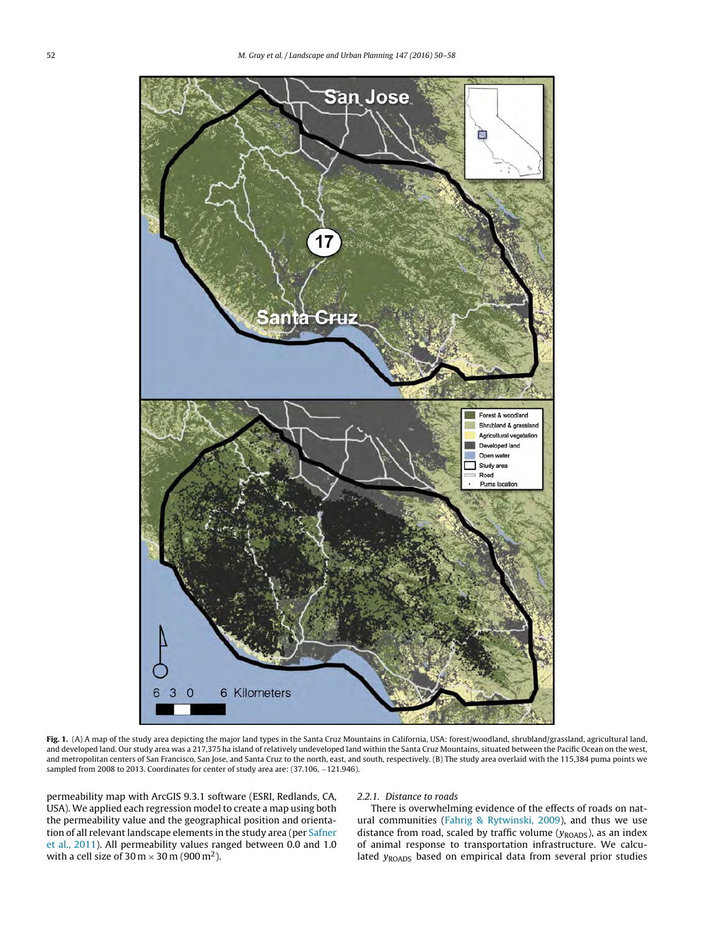<span id="page-2-0"></span>

**Fig. 1.** (A) A map of the study area depicting the major land types in the Santa Cruz Mountains in California, USA: forest/woodland, shrubland/grassland, agricultural land, and developed land. Our study area was a 217,375 ha island of relatively undeveloped land within the Santa Cruz Mountains, situated between the Pacific Ocean on the west, and metropolitan centers of San Francisco, San Jose, and Santa Cruz to the north, east, and south, respectively. (B) The study area overlaid with the 115,384 puma points we sampled from 2008 to 2013. Coordinates for center of study area are: (37.106, -121.946).

permeability map with ArcGIS 9.3.1 software (ESRI, Redlands, CA, USA). We applied each regression model to create a map using both the permeability value and the geographical position and orientation of all relevant landscape elements in the study area (per [Safner](#page-7-0) et [al.,](#page-7-0) [2011\).](#page-7-0) All permeability values ranged between 0.0 and 1.0 with a cell size of  $30 \,\mathrm{m} \times 30 \,\mathrm{m}$  (900 m<sup>2</sup>).

# 2.2.1. Distance to roads

There is overwhelming evidence of the effects of roads on natural communities [\(Fahrig](#page-7-0) [&](#page-7-0) [Rytwinski,](#page-7-0) [2009\),](#page-7-0) and thus we use distance from road, scaled by traffic volume  $(y_{ROADS})$ , as an index of animal response to transportation infrastructure. We calculated  $y_{\text{ROADS}}$  based on empirical data from several prior studies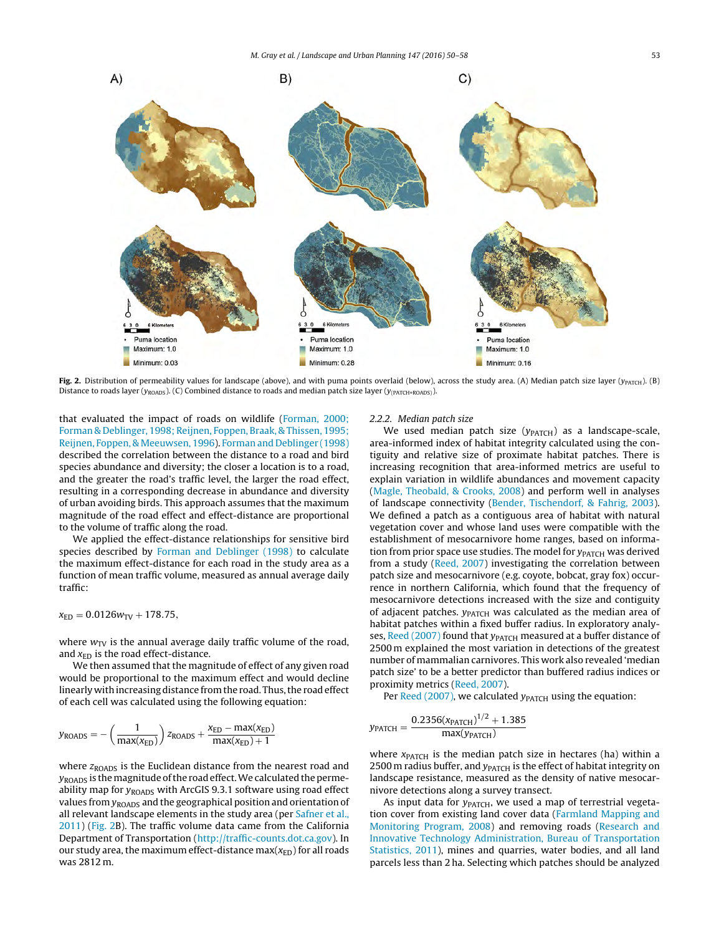<span id="page-3-0"></span>

Fig. 2. Distribution of permeability values for landscape (above), and with puma points overlaid (below), across the study area. (A) Median patch size layer (y<sub>PATCH</sub>). (B) Distance to roads layer ( $y_{ROADS}$ ). (C) Combined distance to roads and median patch size layer ( $y_{(PACTH+ROADS)}$ ).

that evaluated the impact of roads on wildlife ([Forman,](#page-7-0) [2000;](#page-7-0) [Forman](#page-7-0) [&](#page-7-0) [Deblinger,](#page-7-0) [1998;](#page-7-0) [Reijnen,](#page-7-0) [Foppen,](#page-7-0) [Braak,](#page-7-0) [&](#page-7-0) [Thissen,](#page-7-0) [1995;](#page-7-0) [Reijnen,](#page-7-0) [Foppen,](#page-7-0) [&](#page-7-0) [Meeuwsen,](#page-7-0) [1996\).](#page-7-0) [Forman](#page-7-0) [and](#page-7-0) [Deblinger](#page-7-0) [\(1998\)](#page-7-0) described the correlation between the distance to a road and bird species abundance and diversity; the closer a location is to a road, and the greater the road's traffic level, the larger the road effect, resulting in a corresponding decrease in abundance and diversity of urban avoiding birds. This approach assumes that the maximum magnitude of the road effect and effect-distance are proportional to the volume of traffic along the road.

We applied the effect-distance relationships for sensitive bird species described by [Forman](#page-7-0) [and](#page-7-0) [Deblinger](#page-7-0) [\(1998\)](#page-7-0) to calculate the maximum effect-distance for each road in the study area as a function of mean traffic volume, measured as annual average daily traffic:

 $x_{ED} = 0.0126w_{TV} + 178.75,$ 

where  $w_{\text{TV}}$  is the annual average daily traffic volume of the road, and  $x<sub>ED</sub>$  is the road effect-distance.

We then assumed that the magnitude of effect of any given road would be proportional to the maximum effect and would decline linearly with increasing distance from the road. Thus, the road effect of each cell was calculated using the following equation:

$$
y_{\text{ROADS}} = -\left(\frac{1}{\max(x_{\text{ED}})}\right) z_{\text{ROADS}} + \frac{x_{\text{ED}} - \max(x_{\text{ED}})}{\max(x_{\text{ED}}) + 1}
$$

where  $z_{\text{ROADS}}$  is the Euclidean distance from the nearest road and  $y_{\text{ROADS}}$  is the magnitude of the road effect. We calculated the permeability map for  $y_{\text{ROADS}}$  with ArcGIS 9.3.1 software using road effect values from  $y_{\text{ROADS}}$  and the geographical position and orientation of all relevant landscape elements in the study area (per [Safner](#page-7-0) et [al.,](#page-7-0) [2011\)](#page-7-0) (Fig. 2B). The traffic volume data came from the California Department of Transportation ([http://traffic-counts.dot.ca.gov\)](http://traffic-counts.dot.ca.gov/). In our study area, the maximum effect-distance max $(x_{ED})$  for all roads was 2812 m.

## 2.2.2. Median patch size

We used median patch size  $(y<sub>PATCH</sub>)$  as a landscape-scale, area-informed index of habitat integrity calculated using the contiguity and relative size of proximate habitat patches. There is increasing recognition that area-informed metrics are useful to explain variation in wildlife abundances and movement capacity [\(Magle,](#page-7-0) [Theobald,](#page-7-0) [&](#page-7-0) [Crooks,](#page-7-0) [2008\)](#page-7-0) and perform well in analyses of landscape connectivity [\(Bender,](#page-7-0) [Tischendorf,](#page-7-0) [&](#page-7-0) [Fahrig,](#page-7-0) [2003\).](#page-7-0) We defined a patch as a contiguous area of habitat with natural vegetation cover and whose land uses were compatible with the establishment of mesocarnivore home ranges, based on information from prior space use studies. The model for  $y_{\text{PATCH}}$  was derived from a study ([Reed,](#page-7-0) [2007\)](#page-7-0) investigating the correlation between patch size and mesocarnivore (e.g. coyote, bobcat, gray fox) occurrence in northern California, which found that the frequency of mesocarnivore detections increased with the size and contiguity of adjacent patches.  $y_{\text{PATCH}}$  was calculated as the median area of habitat patches within a fixed buffer radius. In exploratory analy-ses, [Reed](#page-7-0) [\(2007\)](#page-7-0) found that  $y_{\text{PATCH}}$  measured at a buffer distance of 2500 m explained the most variation in detections of the greatest number of mammalian carnivores. This work also revealed 'median patch size' to be a better predictor than buffered radius indices or proximity metrics [\(Reed,](#page-7-0) [2007\).](#page-7-0)

Per [Reed](#page-7-0) [\(2007\),](#page-7-0) we calculated  $y_{\text{PATCH}}$  using the equation:

$$
y_{\text{PATCH}} = \frac{0.2356(x_{\text{PATCH}})^{1/2} + 1.385}{\text{max}(y_{\text{PATCH}})}
$$

where  $x<sub>PATH</sub>$  is the median patch size in hectares (ha) within a 2500 m radius buffer, and  $y_{\text{PATCH}}$  is the effect of habitat integrity on landscape resistance, measured as the density of native mesocarnivore detections along a survey transect.

As input data for  $y_{\text{PATCH}}$ , we used a map of terrestrial vegetation cover from existing land cover data ([Farmland](#page-7-0) [Mapping](#page-7-0) [and](#page-7-0) [Monitoring](#page-7-0) [Program,](#page-7-0) [2008\)](#page-7-0) and removing roads [\(Research](#page-7-0) [and](#page-7-0) [Innovative](#page-7-0) [Technology](#page-7-0) [Administration,](#page-7-0) [Bureau](#page-7-0) [of](#page-7-0) [Transportation](#page-7-0) [Statistics,](#page-7-0) [2011\),](#page-7-0) mines and quarries, water bodies, and all land parcels less than 2 ha. Selecting which patches should be analyzed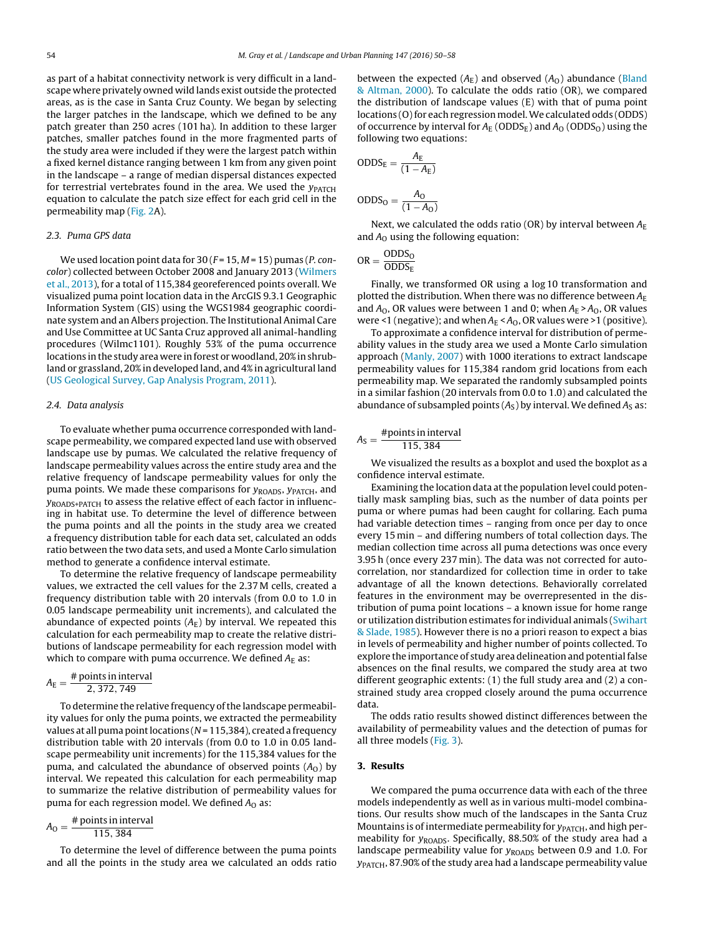as part of a habitat connectivity network is very difficult in a landscape where privately owned wild lands exist outside the protected areas, as is the case in Santa Cruz County. We began by selecting the larger patches in the landscape, which we defined to be any patch greater than 250 acres (101 ha). In addition to these larger patches, smaller patches found in the more fragmented parts of the study area were included if they were the largest patch within a fixed kernel distance ranging between 1 km from any given point in the landscape – a range of median dispersal distances expected for terrestrial vertebrates found in the area. We used the  $y_{\text{PATCH}}$ equation to calculate the patch size effect for each grid cell in the permeability map [\(Fig.](#page-3-0) 2A).

# 2.3. Puma GPS data

We used location point data for  $30$  ( $F = 15$ ,  $M = 15$ ) pumas (*P. con*color) collected between October 2008 and January 2013 ([Wilmers](#page-8-0) et [al.,](#page-8-0) [2013\),](#page-8-0) for a total of 115,384 georeferenced points overall. We visualized puma point location data in the ArcGIS 9.3.1 Geographic Information System (GIS) using the WGS1984 geographic coordinate system and an Albers projection. The Institutional Animal Care and Use Committee at UC Santa Cruz approved all animal-handling procedures (Wilmc1101). Roughly 53% of the puma occurrence locations in the study area were in forest or woodland, 20% in shrubland or grassland, 20% in developed land, and 4% in agricultural land ([US](#page-8-0) [Geological](#page-8-0) [Survey,](#page-8-0) [Gap](#page-8-0) [Analysis](#page-8-0) [Program,](#page-8-0) [2011\).](#page-8-0)

### 2.4. Data analysis

To evaluate whether puma occurrence corresponded with landscape permeability, we compared expected land use with observed landscape use by pumas. We calculated the relative frequency of landscape permeability values across the entire study area and the relative frequency of landscape permeability values for only the puma points. We made these comparisons for  $y_{\text{ROADS}}$ ,  $y_{\text{PATCH}}$ , and yROADS+PATCH to assess the relative effect of each factor in influencing in habitat use. To determine the level of difference between the puma points and all the points in the study area we created a frequency distribution table for each data set, calculated an odds ratio between the two data sets, and used a Monte Carlo simulation method to generate a confidence interval estimate.

To determine the relative frequency of landscape permeability values, we extracted the cell values for the 2.37 M cells, created a frequency distribution table with 20 intervals (from 0.0 to 1.0 in 0.05 landscape permeability unit increments), and calculated the abundance of expected points  $(A<sub>E</sub>)$  by interval. We repeated this calculation for each permeability map to create the relative distributions of landscape permeability for each regression model with which to compare with puma occurrence. We defined  $A_E$  as:

$$
A_{\rm E} = \frac{\text{\# points in interval}}{2,372,749}
$$

To determine the relative frequency of the landscape permeability values for only the puma points, we extracted the permeability values at all puma point locations ( $N = 115,384$ ), created a frequency distribution table with 20 intervals (from 0.0 to 1.0 in 0.05 landscape permeability unit increments) for the 115,384 values for the puma, and calculated the abundance of observed points  $(A<sub>0</sub>)$  by interval. We repeated this calculation for each permeability map to summarize the relative distribution of permeability values for puma for each regression model. We defined  $A<sub>0</sub>$  as:

$$
A_{\rm O} = \frac{\text{\# points in interval}}{115,384}
$$

To determine the level of difference between the puma points and all the points in the study area we calculated an odds ratio between the expected  $(A_E)$  and observed  $(A_O)$  abundance [\(Bland](#page-7-0) [&](#page-7-0) [Altman,](#page-7-0) [2000\).](#page-7-0) To calculate the odds ratio (OR), we compared the distribution of landscape values (E) with that of puma point locations (O) for each regression model. We calculated odds (ODDS) of occurrence by interval for  $A_E$  (ODDS<sub>E</sub>) and  $A_O$  (ODDS<sub>O</sub>) using the following two equations:

$$
ODDS_E = \frac{A_E}{(1 - A_E)}
$$

$$
ODDS_O = \frac{A_O}{(1 - A_O)}
$$

Next, we calculated the odds ratio (OR) by interval between  $A_{\rm E}$ and  $A_0$  using the following equation:

$$
OR = \frac{ODDS_O}{ODDS_E}
$$

Finally, we transformed OR using a log 10 transformation and plotted the distribution. When there was no difference between  $A_{\rm E}$ and  $A_0$ , OR values were between 1 and 0; when  $A_E > A_0$ , OR values were <1 (negative); and when  $A_E < A_O$ , OR values were >1 (positive).

To approximate a confidence interval for distribution of permeability values in the study area we used a Monte Carlo simulation approach [\(Manly,](#page-7-0) [2007\)](#page-7-0) with 1000 iterations to extract landscape permeability values for 115,384 random grid locations from each permeability map. We separated the randomly subsampled points in a similar fashion (20 intervals from 0.0 to 1.0) and calculated the abundance of subsampled points  $(A<sub>S</sub>)$  by interval. We defined  $A<sub>S</sub>$  as:

$$
A_{\rm S} = \frac{\text{\#points in interval}}{115,384}
$$

We visualized the results as a boxplot and used the boxplot as a confidence interval estimate.

Examining the location data at the population level could potentially mask sampling bias, such as the number of data points per puma or where pumas had been caught for collaring. Each puma had variable detection times – ranging from once per day to once every 15 min – and differing numbers of total collection days. The median collection time across all puma detections was once every 3.95 h (once every 237 min). The data was not corrected for autocorrelation, nor standardized for collection time in order to take advantage of all the known detections. Behaviorally correlated features in the environment may be overrepresented in the distribution of puma point locations – a known issue for home range or utilization distribution estimates for individual animals [\(Swihart](#page-8-0) [&](#page-8-0) [Slade,](#page-8-0) [1985\).](#page-8-0) However there is no a priori reason to expect a bias in levels of permeability and higher number of points collected. To explore the importance of study area delineation and potential false absences on the final results, we compared the study area at two different geographic extents: (1) the full study area and (2) a constrained study area cropped closely around the puma occurrence data.

The odds ratio results showed distinct differences between the availability of permeability values and the detection of pumas for all three models [\(Fig.](#page-5-0) 3).

## **3. Results**

We compared the puma occurrence data with each of the three models independently as well as in various multi-model combinations. Our results show much of the landscapes in the Santa Cruz Mountains is of intermediate permeability for  $y_{\text{PATCH}}$ , and high permeability for  $y_{\text{ROADS}}$ . Specifically, 88.50% of the study area had a landscape permeability value for  $y_{\text{ROADS}}$  between 0.9 and 1.0. For  $y_{\text{PATCH}}$ , 87.90% of the study area had a landscape permeability value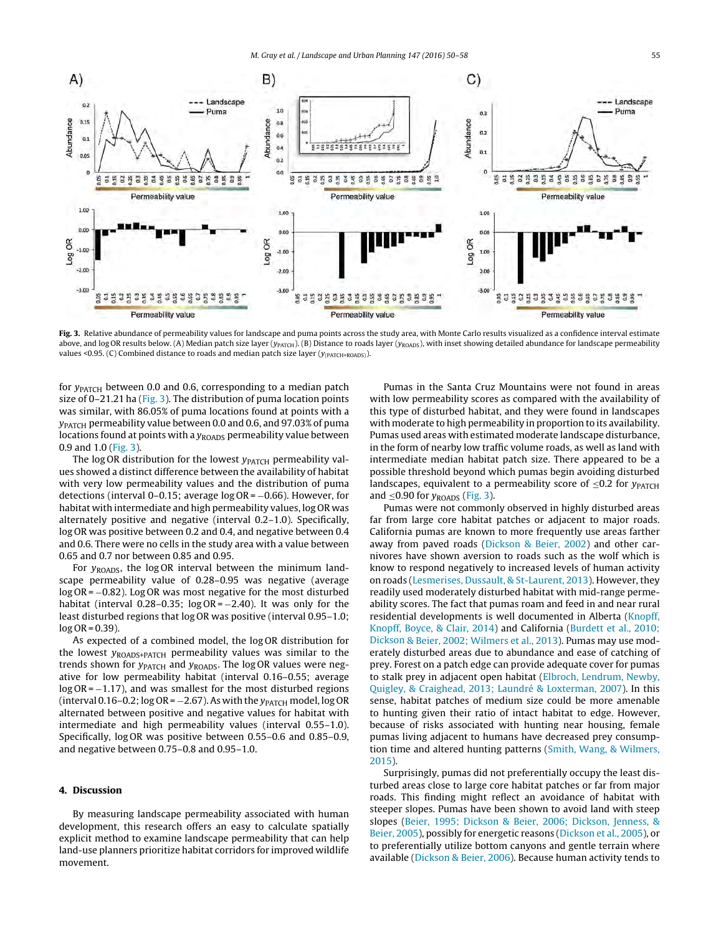<span id="page-5-0"></span>

**Fig. 3.** Relative abundance of permeability values for landscape and puma points across the study area, with Monte Carlo results visualized as a confidence interval estimate above, and log OR results below. (A) Median patch size layer ( $y_{PATEH}$ ). (B) Distance to roads layer ( $y_{ROADS}$ ), with inset showing detailed abundance for landscape permeability values <0.95. (C) Combined distance to roads and median patch size layer  $(y_{(PATCH+ROADS)})$ .

for  $y_{\text{PATCH}}$  between 0.0 and 0.6, corresponding to a median patch size of  $0-21.21$  ha (Fig. 3). The distribution of puma location points was similar, with 86.05% of puma locations found at points with a yPATCH permeability value between 0.0 and 0.6, and 97.03% of puma locations found at points with a  $y_{\text{ROADS}}$  permeability value between 0.9 and 1.0 (Fig. 3).

The log OR distribution for the lowest  $y_{\text{PATCH}}$  permeability values showed a distinct difference between the availability of habitat with very low permeability values and the distribution of puma detections (interval 0–0.15; average log OR = −0.66). However, for habitat with intermediate and high permeability values, log OR was alternately positive and negative (interval 0.2–1.0). Specifically, log OR was positive between 0.2 and 0.4, and negative between 0.4 and 0.6. There were no cells in the study area with a value between 0.65 and 0.7 nor between 0.85 and 0.95.

For  $y_{\text{ROADS}}$ , the log OR interval between the minimum landscape permeability value of 0.28–0.95 was negative (average log OR = −0.82). Log OR was most negative for the most disturbed habitat (interval 0.28–0.35;  $log OR = -2.40$ ). It was only for the least disturbed regions that log OR was positive (interval 0.95–1.0;  $log$  OR = 0.39).

As expected of a combined model, the log OR distribution for the lowest  $y_{\text{ROADS+PATCH}}$  permeability values was similar to the trends shown for  $y_{\text{PATCH}}$  and  $y_{\text{ROADS}}$ . The log OR values were negative for low permeability habitat (interval 0.16–0.55; average  $log OR = -1.17$ ), and was smallest for the most disturbed regions (interval 0.16–0.2; log OR =  $-2.67$ ). As with the  $y_{\text{PATH}}$  model, log OR alternated between positive and negative values for habitat with intermediate and high permeability values (interval 0.55–1.0). Specifically, log OR was positive between 0.55–0.6 and 0.85–0.9, and negative between 0.75–0.8 and 0.95–1.0.

# **4. Discussion**

By measuring landscape permeability associated with human development, this research offers an easy to calculate spatially explicit method to examine landscape permeability that can help land-use planners prioritize habitat corridors for improved wildlife movement.

Pumas in the Santa Cruz Mountains were not found in areas with low permeability scores as compared with the availability of this type of disturbed habitat, and they were found in landscapes with moderate to high permeability in proportion to its availability. Pumas used areas with estimated moderate landscape disturbance, in the form of nearby low traffic volume roads, as well as land with intermediate median habitat patch size. There appeared to be a possible threshold beyond which pumas begin avoiding disturbed landscapes, equivalent to a permeability score of  $\leq 0.2$  for  $y_{\text{PATCH}}$ and  $\leq$ 0.90 for  $y_{ROADS}$  (Fig. 3).

Pumas were not commonly observed in highly disturbed areas far from large core habitat patches or adjacent to major roads. California pumas are known to more frequently use areas farther away from paved roads [\(Dickson](#page-7-0) [&](#page-7-0) [Beier,](#page-7-0) [2002\)](#page-7-0) and other carnivores have shown aversion to roads such as the wolf which is know to respond negatively to increased levels of human activity on roads [\(Lesmerises,](#page-7-0) [Dussault,](#page-7-0) [&](#page-7-0) [St-Laurent,](#page-7-0) [2013\).](#page-7-0) However, they readily used moderately disturbed habitat with mid-range permeability scores. The fact that pumas roam and feed in and near rural residential developments is well documented in Alberta [\(Knopff,](#page-7-0) [Knopff,](#page-7-0) [Boyce,](#page-7-0) [&](#page-7-0) [Clair,](#page-7-0) [2014\)](#page-7-0) and California [\(Burdett](#page-7-0) et [al.,](#page-7-0) [2010;](#page-7-0) [Dickson](#page-7-0) [&](#page-7-0) [Beier,](#page-7-0) [2002;](#page-7-0) [Wilmers](#page-7-0) et [al.,](#page-7-0) [2013\).](#page-7-0) Pumas may use moderately disturbed areas due to abundance and ease of catching of prey. Forest on a patch edge can provide adequate cover for pumas to stalk prey in adjacent open habitat [\(Elbroch,](#page-7-0) [Lendrum,](#page-7-0) [Newby,](#page-7-0) [Quigley,](#page-7-0) [&](#page-7-0) [Craighead,](#page-7-0) [2013;](#page-7-0) [Laundré](#page-7-0) [&](#page-7-0) [Loxterman,](#page-7-0) [2007\).](#page-7-0) In this sense, habitat patches of medium size could be more amenable to hunting given their ratio of intact habitat to edge. However, because of risks associated with hunting near housing, female pumas living adjacent to humans have decreased prey consumption time and altered hunting patterns ([Smith,](#page-8-0) [Wang,](#page-8-0) [&](#page-8-0) [Wilmers,](#page-8-0) [2015\).](#page-8-0)

Surprisingly, pumas did not preferentially occupy the least disturbed areas close to large core habitat patches or far from major roads. This finding might reflect an avoidance of habitat with steeper slopes. Pumas have been shown to avoid land with steep slopes ([Beier,](#page-7-0) [1995;](#page-7-0) [Dickson](#page-7-0) [&](#page-7-0) [Beier,](#page-7-0) [2006;](#page-7-0) [Dickson,](#page-7-0) [Jenness,](#page-7-0) [&](#page-7-0) [Beier,](#page-7-0) [2005\),](#page-7-0) possibly for energetic reasons ([Dickson](#page-7-0) et [al.,](#page-7-0) [2005\),](#page-7-0) or to preferentially utilize bottom canyons and gentle terrain where available [\(Dickson](#page-7-0) [&](#page-7-0) [Beier,](#page-7-0) [2006\).](#page-7-0) Because human activity tends to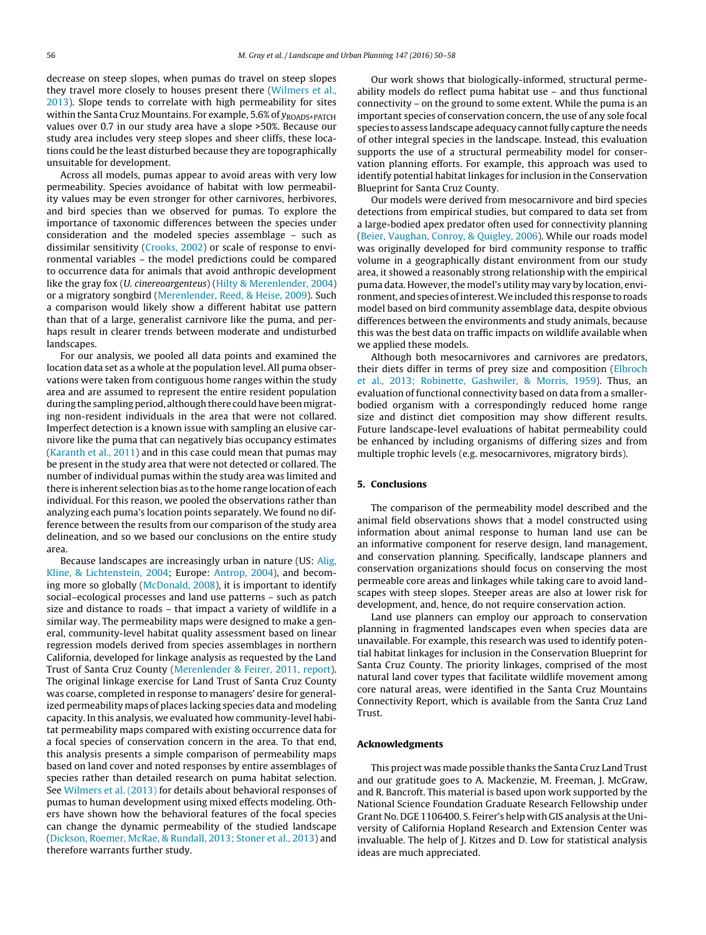decrease on steep slopes, when pumas do travel on steep slopes they travel more closely to houses present there ([Wilmers](#page-8-0) et [al.,](#page-8-0) [2013\).](#page-8-0) Slope tends to correlate with high permeability for sites within the Santa Cruz Mountains. For example, 5.6% of  $y_{\text{ROADS+PATH}}$ values over 0.7 in our study area have a slope >50%. Because our study area includes very steep slopes and sheer cliffs, these locations could be the least disturbed because they are topographically unsuitable for development.

Across all models, pumas appear to avoid areas with very low permeability. Species avoidance of habitat with low permeability values may be even stronger for other carnivores, herbivores, and bird species than we observed for pumas. To explore the importance of taxonomic differences between the species under consideration and the modeled species assemblage – such as dissimilar sensitivity ([Crooks,](#page-7-0) [2002\)](#page-7-0) or scale of response to environmental variables – the model predictions could be compared to occurrence data for animals that avoid anthropic development like the gray fox (U. cinereoargenteus) ([Hilty](#page-7-0) [&](#page-7-0) [Merenlender,](#page-7-0) [2004\)](#page-7-0) or a migratory songbird [\(Merenlender,](#page-7-0) [Reed,](#page-7-0) [&](#page-7-0) [Heise,](#page-7-0) [2009\).](#page-7-0) Such a comparison would likely show a different habitat use pattern than that of a large, generalist carnivore like the puma, and perhaps result in clearer trends between moderate and undisturbed landscapes.

For our analysis, we pooled all data points and examined the location data set as a whole at the population level. All puma observations were taken from contiguous home ranges within the study area and are assumed to represent the entire resident population during the sampling period, although there could have been migrating non-resident individuals in the area that were not collared. Imperfect detection is a known issue with sampling an elusive carnivore like the puma that can negatively bias occupancy estimates ([Karanth](#page-7-0) et [al.,](#page-7-0) [2011\)](#page-7-0) and in this case could mean that pumas may be present in the study area that were not detected or collared. The number of individual pumas within the study area was limited and there is inherent selection bias as to the home range location of each individual. For this reason, we pooled the observations rather than analyzing each puma's location points separately. We found no difference between the results from our comparison of the study area delineation, and so we based our conclusions on the entire study area.

Because landscapes are increasingly urban in nature (US: [Alig,](#page-7-0) [Kline,](#page-7-0) [&](#page-7-0) [Lichtenstein,](#page-7-0) [2004;](#page-7-0) Europe: [Antrop,](#page-7-0) [2004\),](#page-7-0) and becoming more so globally ([McDonald,](#page-7-0) [2008\),](#page-7-0) it is important to identify social–ecological processes and land use patterns – such as patch size and distance to roads – that impact a variety of wildlife in a similar way. The permeability maps were designed to make a general, community-level habitat quality assessment based on linear regression models derived from species assemblages in northern California, developed for linkage analysis as requested by the Land Trust of Santa Cruz County ([Merenlender](#page-7-0) [&](#page-7-0) [Feirer,](#page-7-0) [2011,](#page-7-0) [report\).](#page-7-0) The original linkage exercise for Land Trust of Santa Cruz County was coarse, completed in response to managers' desire for generalized permeability maps of places lacking species data and modeling capacity. In this analysis, we evaluated how community-level habitat permeability maps compared with existing occurrence data for a focal species of conservation concern in the area. To that end, this analysis presents a simple comparison of permeability maps based on land cover and noted responses by entire assemblages of species rather than detailed research on puma habitat selection. See [Wilmers](#page-8-0) et [al.](#page-8-0) [\(2013\)](#page-8-0) for details about behavioral responses of pumas to human development using mixed effects modeling. Others have shown how the behavioral features of the focal species can change the dynamic permeability of the studied landscape ([Dickson,](#page-7-0) [Roemer,](#page-7-0) [McRae,](#page-7-0) [&](#page-7-0) [Rundall,](#page-7-0) [2013;](#page-7-0) [Stoner](#page-7-0) et [al.,](#page-7-0) [2013\)](#page-7-0) and therefore warrants further study.

Our work shows that biologically-informed, structural permeability models do reflect puma habitat use – and thus functional connectivity – on the ground to some extent. While the puma is an important species of conservation concern, the use of any sole focal species to assess landscape adequacy cannot fully capture the needs of other integral species in the landscape. Instead, this evaluation supports the use of a structural permeability model for conservation planning efforts. For example, this approach was used to identify potential habitat linkages for inclusion in the Conservation Blueprint for Santa Cruz County.

Our models were derived from mesocarnivore and bird species detections from empirical studies, but compared to data set from a large-bodied apex predator often used for connectivity planning [\(Beier,](#page-7-0) [Vaughan,](#page-7-0) [Conroy,](#page-7-0) [&](#page-7-0) [Quigley,](#page-7-0) [2006\).](#page-7-0) While our roads model was originally developed for bird community response to traffic volume in a geographically distant environment from our study area, it showed a reasonably strong relationship with the empirical puma data. However, the model's utility may vary by location, environment, and species of interest. We included this response to roads model based on bird community assemblage data, despite obvious differences between the environments and study animals, because this was the best data on traffic impacts on wildlife available when we applied these models.

Although both mesocarnivores and carnivores are predators, their diets differ in terms of prey size and composition ([Elbroch](#page-7-0) et [al.,](#page-7-0) [2013;](#page-7-0) [Robinette,](#page-7-0) [Gashwiler,](#page-7-0) [&](#page-7-0) [Morris,](#page-7-0) [1959\).](#page-7-0) Thus, an evaluation of functional connectivity based on data from a smallerbodied organism with a correspondingly reduced home range size and distinct diet composition may show different results. Future landscape-level evaluations of habitat permeability could be enhanced by including organisms of differing sizes and from multiple trophic levels (e.g. mesocarnivores, migratory birds).

#### **5. Conclusions**

The comparison of the permeability model described and the animal field observations shows that a model constructed using information about animal response to human land use can be an informative component for reserve design, land management, and conservation planning. Specifically, landscape planners and conservation organizations should focus on conserving the most permeable core areas and linkages while taking care to avoid landscapes with steep slopes. Steeper areas are also at lower risk for development, and, hence, do not require conservation action.

Land use planners can employ our approach to conservation planning in fragmented landscapes even when species data are unavailable. For example, this research was used to identify potential habitat linkages for inclusion in the Conservation Blueprint for Santa Cruz County. The priority linkages, comprised of the most natural land cover types that facilitate wildlife movement among core natural areas, were identified in the Santa Cruz Mountains Connectivity Report, which is available from the Santa Cruz Land Trust.

## **Acknowledgments**

This project was made possible thanks the Santa Cruz Land Trust and our gratitude goes to A. Mackenzie, M. Freeman, J. McGraw, and R. Bancroft. This material is based upon work supported by the National Science Foundation Graduate Research Fellowship under Grant No. DGE 1106400. S. Feirer's help with GIS analysis atthe University of California Hopland Research and Extension Center was invaluable. The help of J. Kitzes and D. Low for statistical analysis ideas are much appreciated.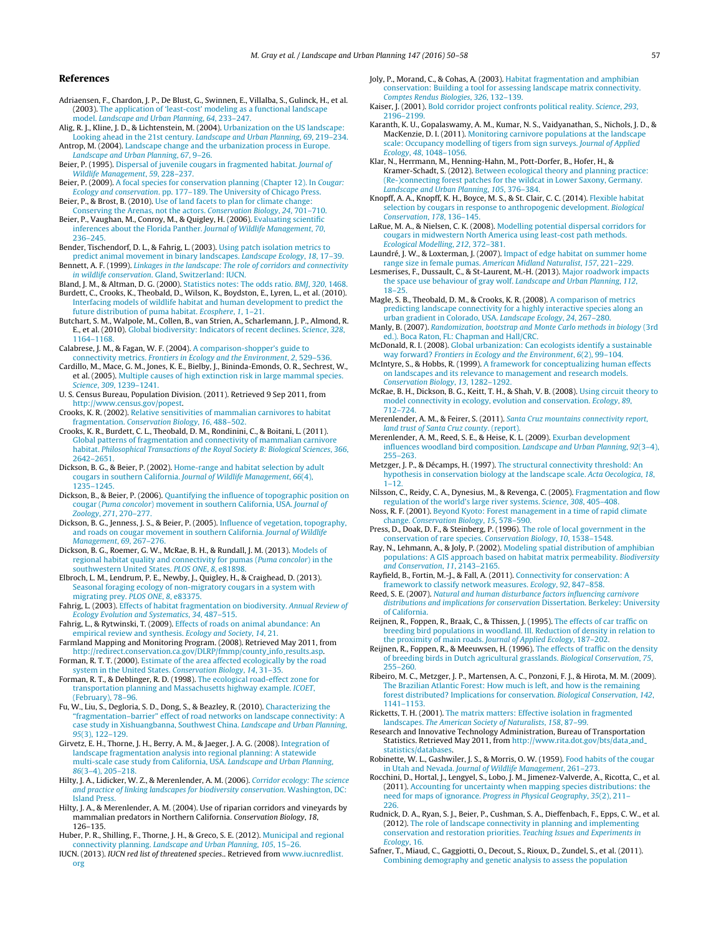#### <span id="page-7-0"></span>**References**

Adriaensen, F., Chardon, J. P., De Blust, G., Swinnen, E., Villalba, S., Gulinck, H., et al. (2003). [The](http://refhub.elsevier.com/S0169-2046(15)00233-9/sbref0005) [application](http://refhub.elsevier.com/S0169-2046(15)00233-9/sbref0005) [of](http://refhub.elsevier.com/S0169-2046(15)00233-9/sbref0005) ['least-cost'](http://refhub.elsevier.com/S0169-2046(15)00233-9/sbref0005) [modeling](http://refhub.elsevier.com/S0169-2046(15)00233-9/sbref0005) [as](http://refhub.elsevier.com/S0169-2046(15)00233-9/sbref0005) [a](http://refhub.elsevier.com/S0169-2046(15)00233-9/sbref0005) [functional](http://refhub.elsevier.com/S0169-2046(15)00233-9/sbref0005) [landscape](http://refhub.elsevier.com/S0169-2046(15)00233-9/sbref0005) [model.](http://refhub.elsevier.com/S0169-2046(15)00233-9/sbref0005) [Landscape](http://refhub.elsevier.com/S0169-2046(15)00233-9/sbref0005) [and](http://refhub.elsevier.com/S0169-2046(15)00233-9/sbref0005) [Urban](http://refhub.elsevier.com/S0169-2046(15)00233-9/sbref0005) [Planning](http://refhub.elsevier.com/S0169-2046(15)00233-9/sbref0005)[,](http://refhub.elsevier.com/S0169-2046(15)00233-9/sbref0005) [64](http://refhub.elsevier.com/S0169-2046(15)00233-9/sbref0005)[,](http://refhub.elsevier.com/S0169-2046(15)00233-9/sbref0005) [233–247.](http://refhub.elsevier.com/S0169-2046(15)00233-9/sbref0005)

Alig, R. J., Kline, J. D., & Lichtenstein, M. (2004). [Urbanization](http://refhub.elsevier.com/S0169-2046(15)00233-9/sbref3000) [on](http://refhub.elsevier.com/S0169-2046(15)00233-9/sbref3000) [the](http://refhub.elsevier.com/S0169-2046(15)00233-9/sbref3000) [US](http://refhub.elsevier.com/S0169-2046(15)00233-9/sbref3000) [landscape:](http://refhub.elsevier.com/S0169-2046(15)00233-9/sbref3000) [Looking](http://refhub.elsevier.com/S0169-2046(15)00233-9/sbref3000) [ahead](http://refhub.elsevier.com/S0169-2046(15)00233-9/sbref3000) [in](http://refhub.elsevier.com/S0169-2046(15)00233-9/sbref3000) [the](http://refhub.elsevier.com/S0169-2046(15)00233-9/sbref3000) [21st](http://refhub.elsevier.com/S0169-2046(15)00233-9/sbref3000) [century.](http://refhub.elsevier.com/S0169-2046(15)00233-9/sbref3000) [Landscape](http://refhub.elsevier.com/S0169-2046(15)00233-9/sbref3000) [and](http://refhub.elsevier.com/S0169-2046(15)00233-9/sbref3000) [Urban](http://refhub.elsevier.com/S0169-2046(15)00233-9/sbref3000) [Planning](http://refhub.elsevier.com/S0169-2046(15)00233-9/sbref3000)[,](http://refhub.elsevier.com/S0169-2046(15)00233-9/sbref3000) [69](http://refhub.elsevier.com/S0169-2046(15)00233-9/sbref3000)[,](http://refhub.elsevier.com/S0169-2046(15)00233-9/sbref3000) [219](http://refhub.elsevier.com/S0169-2046(15)00233-9/sbref3000)–[234.](http://refhub.elsevier.com/S0169-2046(15)00233-9/sbref3000)

Antrop, M. (2004). [Landscape](http://refhub.elsevier.com/S0169-2046(15)00233-9/sbref4000) [change](http://refhub.elsevier.com/S0169-2046(15)00233-9/sbref4000) [and](http://refhub.elsevier.com/S0169-2046(15)00233-9/sbref4000) [the](http://refhub.elsevier.com/S0169-2046(15)00233-9/sbref4000) [urbanization](http://refhub.elsevier.com/S0169-2046(15)00233-9/sbref4000) [process](http://refhub.elsevier.com/S0169-2046(15)00233-9/sbref4000) [in](http://refhub.elsevier.com/S0169-2046(15)00233-9/sbref4000) [Europe.](http://refhub.elsevier.com/S0169-2046(15)00233-9/sbref4000) [Landscape](http://refhub.elsevier.com/S0169-2046(15)00233-9/sbref4000) [and](http://refhub.elsevier.com/S0169-2046(15)00233-9/sbref4000) [Urban](http://refhub.elsevier.com/S0169-2046(15)00233-9/sbref4000) [Planning](http://refhub.elsevier.com/S0169-2046(15)00233-9/sbref4000)[,](http://refhub.elsevier.com/S0169-2046(15)00233-9/sbref4000) [67](http://refhub.elsevier.com/S0169-2046(15)00233-9/sbref4000)[,](http://refhub.elsevier.com/S0169-2046(15)00233-9/sbref4000) [9](http://refhub.elsevier.com/S0169-2046(15)00233-9/sbref4000)–[26.](http://refhub.elsevier.com/S0169-2046(15)00233-9/sbref4000)

Beier, P. (1995). [Dispersal](http://refhub.elsevier.com/S0169-2046(15)00233-9/sbref0010) [of](http://refhub.elsevier.com/S0169-2046(15)00233-9/sbref0010) [juvenile](http://refhub.elsevier.com/S0169-2046(15)00233-9/sbref0010) [cougars](http://refhub.elsevier.com/S0169-2046(15)00233-9/sbref0010) [in](http://refhub.elsevier.com/S0169-2046(15)00233-9/sbref0010) [fragmented](http://refhub.elsevier.com/S0169-2046(15)00233-9/sbref0010) [habitat.](http://refhub.elsevier.com/S0169-2046(15)00233-9/sbref0010) [Journal](http://refhub.elsevier.com/S0169-2046(15)00233-9/sbref0010) [of](http://refhub.elsevier.com/S0169-2046(15)00233-9/sbref0010) [Wildlife](http://refhub.elsevier.com/S0169-2046(15)00233-9/sbref0010) [Management](http://refhub.elsevier.com/S0169-2046(15)00233-9/sbref0010)[,](http://refhub.elsevier.com/S0169-2046(15)00233-9/sbref0010) [59](http://refhub.elsevier.com/S0169-2046(15)00233-9/sbref0010), [228](http://refhub.elsevier.com/S0169-2046(15)00233-9/sbref0010)–[237.](http://refhub.elsevier.com/S0169-2046(15)00233-9/sbref0010)

- Beier, P. (2009). [A](http://refhub.elsevier.com/S0169-2046(15)00233-9/sbref0015) [focal](http://refhub.elsevier.com/S0169-2046(15)00233-9/sbref0015) [species](http://refhub.elsevier.com/S0169-2046(15)00233-9/sbref0015) [for](http://refhub.elsevier.com/S0169-2046(15)00233-9/sbref0015) [conservation](http://refhub.elsevier.com/S0169-2046(15)00233-9/sbref0015) [planning](http://refhub.elsevier.com/S0169-2046(15)00233-9/sbref0015) [\(Chapter](http://refhub.elsevier.com/S0169-2046(15)00233-9/sbref0015) [12\).](http://refhub.elsevier.com/S0169-2046(15)00233-9/sbref0015) [In](http://refhub.elsevier.com/S0169-2046(15)00233-9/sbref0015) [Cougar:](http://refhub.elsevier.com/S0169-2046(15)00233-9/sbref0015) [Ecology](http://refhub.elsevier.com/S0169-2046(15)00233-9/sbref0015) [and](http://refhub.elsevier.com/S0169-2046(15)00233-9/sbref0015) [conservation](http://refhub.elsevier.com/S0169-2046(15)00233-9/sbref0015)[.](http://refhub.elsevier.com/S0169-2046(15)00233-9/sbref0015) [pp.](http://refhub.elsevier.com/S0169-2046(15)00233-9/sbref0015) [177](http://refhub.elsevier.com/S0169-2046(15)00233-9/sbref0015)–[189.](http://refhub.elsevier.com/S0169-2046(15)00233-9/sbref0015) [The](http://refhub.elsevier.com/S0169-2046(15)00233-9/sbref0015) [University](http://refhub.elsevier.com/S0169-2046(15)00233-9/sbref0015) [of](http://refhub.elsevier.com/S0169-2046(15)00233-9/sbref0015) [Chicago](http://refhub.elsevier.com/S0169-2046(15)00233-9/sbref0015) [Press.](http://refhub.elsevier.com/S0169-2046(15)00233-9/sbref0015)
- Beier, P., & Brost, B. (2010). [Use](http://refhub.elsevier.com/S0169-2046(15)00233-9/sbref0025) [of](http://refhub.elsevier.com/S0169-2046(15)00233-9/sbref0025) [land](http://refhub.elsevier.com/S0169-2046(15)00233-9/sbref0025) [facets](http://refhub.elsevier.com/S0169-2046(15)00233-9/sbref0025) [to](http://refhub.elsevier.com/S0169-2046(15)00233-9/sbref0025) [plan](http://refhub.elsevier.com/S0169-2046(15)00233-9/sbref0025) [for](http://refhub.elsevier.com/S0169-2046(15)00233-9/sbref0025) [climate](http://refhub.elsevier.com/S0169-2046(15)00233-9/sbref0025) [change:](http://refhub.elsevier.com/S0169-2046(15)00233-9/sbref0025) [Conserving](http://refhub.elsevier.com/S0169-2046(15)00233-9/sbref0025) [the](http://refhub.elsevier.com/S0169-2046(15)00233-9/sbref0025) [Arenas,](http://refhub.elsevier.com/S0169-2046(15)00233-9/sbref0025) [not](http://refhub.elsevier.com/S0169-2046(15)00233-9/sbref0025) [the](http://refhub.elsevier.com/S0169-2046(15)00233-9/sbref0025) [actors.](http://refhub.elsevier.com/S0169-2046(15)00233-9/sbref0025) [Conservation](http://refhub.elsevier.com/S0169-2046(15)00233-9/sbref0025) [Biology](http://refhub.elsevier.com/S0169-2046(15)00233-9/sbref0025)[,](http://refhub.elsevier.com/S0169-2046(15)00233-9/sbref0025) [24](http://refhub.elsevier.com/S0169-2046(15)00233-9/sbref0025)[,](http://refhub.elsevier.com/S0169-2046(15)00233-9/sbref0025) [701–710.](http://refhub.elsevier.com/S0169-2046(15)00233-9/sbref0025) Beier, P., Vaughan, M., Conroy, M., & Quigley, H. (2006). [Evaluating](http://refhub.elsevier.com/S0169-2046(15)00233-9/sbref0030) [scientific](http://refhub.elsevier.com/S0169-2046(15)00233-9/sbref0030)
- [inferences](http://refhub.elsevier.com/S0169-2046(15)00233-9/sbref0030) [about](http://refhub.elsevier.com/S0169-2046(15)00233-9/sbref0030) [the](http://refhub.elsevier.com/S0169-2046(15)00233-9/sbref0030) [Florida](http://refhub.elsevier.com/S0169-2046(15)00233-9/sbref0030) [Panther.](http://refhub.elsevier.com/S0169-2046(15)00233-9/sbref0030) [Journal](http://refhub.elsevier.com/S0169-2046(15)00233-9/sbref0030) [of](http://refhub.elsevier.com/S0169-2046(15)00233-9/sbref0030) [Wildlife](http://refhub.elsevier.com/S0169-2046(15)00233-9/sbref0030) [Management](http://refhub.elsevier.com/S0169-2046(15)00233-9/sbref0030)[,](http://refhub.elsevier.com/S0169-2046(15)00233-9/sbref0030) [70](http://refhub.elsevier.com/S0169-2046(15)00233-9/sbref0030)[,](http://refhub.elsevier.com/S0169-2046(15)00233-9/sbref0030) [236–245.](http://refhub.elsevier.com/S0169-2046(15)00233-9/sbref0030)
- Bender, Tischendorf, D. L., & Fahrig, L. (2003). [Using](http://refhub.elsevier.com/S0169-2046(15)00233-9/sbref0035) [patch](http://refhub.elsevier.com/S0169-2046(15)00233-9/sbref0035) [isolation](http://refhub.elsevier.com/S0169-2046(15)00233-9/sbref0035) [metrics](http://refhub.elsevier.com/S0169-2046(15)00233-9/sbref0035) [to](http://refhub.elsevier.com/S0169-2046(15)00233-9/sbref0035)
- [predict](http://refhub.elsevier.com/S0169-2046(15)00233-9/sbref0035) [animal](http://refhub.elsevier.com/S0169-2046(15)00233-9/sbref0035) [movement](http://refhub.elsevier.com/S0169-2046(15)00233-9/sbref0035) [in](http://refhub.elsevier.com/S0169-2046(15)00233-9/sbref0035) [binary](http://refhub.elsevier.com/S0169-2046(15)00233-9/sbref0035) [landscapes.](http://refhub.elsevier.com/S0169-2046(15)00233-9/sbref0035) [Landscape](http://refhub.elsevier.com/S0169-2046(15)00233-9/sbref0035) [Ecology](http://refhub.elsevier.com/S0169-2046(15)00233-9/sbref0035)[,](http://refhub.elsevier.com/S0169-2046(15)00233-9/sbref0035) [18](http://refhub.elsevier.com/S0169-2046(15)00233-9/sbref0035)[,](http://refhub.elsevier.com/S0169-2046(15)00233-9/sbref0035) [17](http://refhub.elsevier.com/S0169-2046(15)00233-9/sbref0035)–[39.](http://refhub.elsevier.com/S0169-2046(15)00233-9/sbref0035) Bennett, A. F. (1999). [Linkages](http://refhub.elsevier.com/S0169-2046(15)00233-9/sbref0040) [in](http://refhub.elsevier.com/S0169-2046(15)00233-9/sbref0040) [the](http://refhub.elsevier.com/S0169-2046(15)00233-9/sbref0040) [landscape:](http://refhub.elsevier.com/S0169-2046(15)00233-9/sbref0040) [The](http://refhub.elsevier.com/S0169-2046(15)00233-9/sbref0040) [role](http://refhub.elsevier.com/S0169-2046(15)00233-9/sbref0040) [of](http://refhub.elsevier.com/S0169-2046(15)00233-9/sbref0040) [corridors](http://refhub.elsevier.com/S0169-2046(15)00233-9/sbref0040) [and](http://refhub.elsevier.com/S0169-2046(15)00233-9/sbref0040) [connectivity](http://refhub.elsevier.com/S0169-2046(15)00233-9/sbref0040) [in](http://refhub.elsevier.com/S0169-2046(15)00233-9/sbref0040) [wildlife](http://refhub.elsevier.com/S0169-2046(15)00233-9/sbref0040) [conservation](http://refhub.elsevier.com/S0169-2046(15)00233-9/sbref0040)[.](http://refhub.elsevier.com/S0169-2046(15)00233-9/sbref0040) [Gland,](http://refhub.elsevier.com/S0169-2046(15)00233-9/sbref0040) [Switzerland:](http://refhub.elsevier.com/S0169-2046(15)00233-9/sbref0040) [IUCN.](http://refhub.elsevier.com/S0169-2046(15)00233-9/sbref0040)

Bland, J. M., & Altman, D. G. (2000). [Statistics](http://refhub.elsevier.com/S0169-2046(15)00233-9/sbref0045) [notes:](http://refhub.elsevier.com/S0169-2046(15)00233-9/sbref0045) [The](http://refhub.elsevier.com/S0169-2046(15)00233-9/sbref0045) [odds](http://refhub.elsevier.com/S0169-2046(15)00233-9/sbref0045) [ratio.](http://refhub.elsevier.com/S0169-2046(15)00233-9/sbref0045) [BMJ](http://refhub.elsevier.com/S0169-2046(15)00233-9/sbref0045)[,](http://refhub.elsevier.com/S0169-2046(15)00233-9/sbref0045) [320](http://refhub.elsevier.com/S0169-2046(15)00233-9/sbref0045)[,](http://refhub.elsevier.com/S0169-2046(15)00233-9/sbref0045) [1468.](http://refhub.elsevier.com/S0169-2046(15)00233-9/sbref0045) Burdett, C., Crooks, K., Theobald, D., Wilson, K., Boydston, E., Lyren, L., et al. (2010). [Interfacing](http://refhub.elsevier.com/S0169-2046(15)00233-9/sbref0050) [models](http://refhub.elsevier.com/S0169-2046(15)00233-9/sbref0050) [of](http://refhub.elsevier.com/S0169-2046(15)00233-9/sbref0050) [wildlife](http://refhub.elsevier.com/S0169-2046(15)00233-9/sbref0050) [habitat](http://refhub.elsevier.com/S0169-2046(15)00233-9/sbref0050) [and](http://refhub.elsevier.com/S0169-2046(15)00233-9/sbref0050) [human](http://refhub.elsevier.com/S0169-2046(15)00233-9/sbref0050) [development](http://refhub.elsevier.com/S0169-2046(15)00233-9/sbref0050) [to](http://refhub.elsevier.com/S0169-2046(15)00233-9/sbref0050) [predict](http://refhub.elsevier.com/S0169-2046(15)00233-9/sbref0050) [the](http://refhub.elsevier.com/S0169-2046(15)00233-9/sbref0050) [future](http://refhub.elsevier.com/S0169-2046(15)00233-9/sbref0050) [distribution](http://refhub.elsevier.com/S0169-2046(15)00233-9/sbref0050) [of](http://refhub.elsevier.com/S0169-2046(15)00233-9/sbref0050) [puma](http://refhub.elsevier.com/S0169-2046(15)00233-9/sbref0050) [habitat.](http://refhub.elsevier.com/S0169-2046(15)00233-9/sbref0050) [Ecosphere](http://refhub.elsevier.com/S0169-2046(15)00233-9/sbref0050)[,](http://refhub.elsevier.com/S0169-2046(15)00233-9/sbref0050) [1](http://refhub.elsevier.com/S0169-2046(15)00233-9/sbref0050)[,](http://refhub.elsevier.com/S0169-2046(15)00233-9/sbref0050) [1–21.](http://refhub.elsevier.com/S0169-2046(15)00233-9/sbref0050)

Butchart, S. M., Walpole, M., Collen, B., van Strien, A., Scharlemann, J. P., Almond, R. E., et al. (2010). [Global](http://refhub.elsevier.com/S0169-2046(15)00233-9/sbref0055) [biodiversity:](http://refhub.elsevier.com/S0169-2046(15)00233-9/sbref0055) [Indicators](http://refhub.elsevier.com/S0169-2046(15)00233-9/sbref0055) [of](http://refhub.elsevier.com/S0169-2046(15)00233-9/sbref0055) [recent](http://refhub.elsevier.com/S0169-2046(15)00233-9/sbref0055) [declines.](http://refhub.elsevier.com/S0169-2046(15)00233-9/sbref0055) [Science](http://refhub.elsevier.com/S0169-2046(15)00233-9/sbref0055)[,](http://refhub.elsevier.com/S0169-2046(15)00233-9/sbref0055) [328](http://refhub.elsevier.com/S0169-2046(15)00233-9/sbref0055), [1164–1168.](http://refhub.elsevier.com/S0169-2046(15)00233-9/sbref0055)

Calabrese, J. M., & Fagan, W. F. (2004). [A](http://refhub.elsevier.com/S0169-2046(15)00233-9/sbref0060) [comparison-shopper's](http://refhub.elsevier.com/S0169-2046(15)00233-9/sbref0060) [guide](http://refhub.elsevier.com/S0169-2046(15)00233-9/sbref0060) [to](http://refhub.elsevier.com/S0169-2046(15)00233-9/sbref0060) [connectivity](http://refhub.elsevier.com/S0169-2046(15)00233-9/sbref0060) [metrics.](http://refhub.elsevier.com/S0169-2046(15)00233-9/sbref0060) [Frontiers](http://refhub.elsevier.com/S0169-2046(15)00233-9/sbref0060) [in](http://refhub.elsevier.com/S0169-2046(15)00233-9/sbref0060) [Ecology](http://refhub.elsevier.com/S0169-2046(15)00233-9/sbref0060) [and](http://refhub.elsevier.com/S0169-2046(15)00233-9/sbref0060) [the](http://refhub.elsevier.com/S0169-2046(15)00233-9/sbref0060) [Environment](http://refhub.elsevier.com/S0169-2046(15)00233-9/sbref0060)[,](http://refhub.elsevier.com/S0169-2046(15)00233-9/sbref0060) [2](http://refhub.elsevier.com/S0169-2046(15)00233-9/sbref0060)[,](http://refhub.elsevier.com/S0169-2046(15)00233-9/sbref0060) [529–536.](http://refhub.elsevier.com/S0169-2046(15)00233-9/sbref0060)

Cardillo, M., Mace, G. M., Jones, K. E., Bielby, J., Bininda-Emonds, O. R., Sechrest, W., et al. (2005). [Multiple](http://refhub.elsevier.com/S0169-2046(15)00233-9/sbref0070) [causes](http://refhub.elsevier.com/S0169-2046(15)00233-9/sbref0070) [of](http://refhub.elsevier.com/S0169-2046(15)00233-9/sbref0070) [high](http://refhub.elsevier.com/S0169-2046(15)00233-9/sbref0070) [extinction](http://refhub.elsevier.com/S0169-2046(15)00233-9/sbref0070) [risk](http://refhub.elsevier.com/S0169-2046(15)00233-9/sbref0070) [in](http://refhub.elsevier.com/S0169-2046(15)00233-9/sbref0070) [large](http://refhub.elsevier.com/S0169-2046(15)00233-9/sbref0070) [mammal](http://refhub.elsevier.com/S0169-2046(15)00233-9/sbref0070) [species.](http://refhub.elsevier.com/S0169-2046(15)00233-9/sbref0070) [Science](http://refhub.elsevier.com/S0169-2046(15)00233-9/sbref0070)[,](http://refhub.elsevier.com/S0169-2046(15)00233-9/sbref0070) [309](http://refhub.elsevier.com/S0169-2046(15)00233-9/sbref0070), [1239–1241.](http://refhub.elsevier.com/S0169-2046(15)00233-9/sbref0070)

U. S. Census Bureau, Population Division. (2011). Retrieved 9 Sep 2011, from <http://www.census.gov/popest>.

Crooks, K. R. (2002). [Relative](http://refhub.elsevier.com/S0169-2046(15)00233-9/sbref0075) [sensitivities](http://refhub.elsevier.com/S0169-2046(15)00233-9/sbref0075) [of](http://refhub.elsevier.com/S0169-2046(15)00233-9/sbref0075) [mammalian](http://refhub.elsevier.com/S0169-2046(15)00233-9/sbref0075) [carnivores](http://refhub.elsevier.com/S0169-2046(15)00233-9/sbref0075) [to](http://refhub.elsevier.com/S0169-2046(15)00233-9/sbref0075) [habitat](http://refhub.elsevier.com/S0169-2046(15)00233-9/sbref0075) [fragmentation.](http://refhub.elsevier.com/S0169-2046(15)00233-9/sbref0075) [Conservation](http://refhub.elsevier.com/S0169-2046(15)00233-9/sbref0075) [Biology](http://refhub.elsevier.com/S0169-2046(15)00233-9/sbref0075)[,](http://refhub.elsevier.com/S0169-2046(15)00233-9/sbref0075) [16](http://refhub.elsevier.com/S0169-2046(15)00233-9/sbref0075)[,](http://refhub.elsevier.com/S0169-2046(15)00233-9/sbref0075) [488](http://refhub.elsevier.com/S0169-2046(15)00233-9/sbref0075)–[502.](http://refhub.elsevier.com/S0169-2046(15)00233-9/sbref0075)

- Crooks, K. R., Burdett, C. L., Theobald, D. M., Rondinini, C., & Boitani, L. (2011). [Global](http://refhub.elsevier.com/S0169-2046(15)00233-9/sbref0080) [patterns](http://refhub.elsevier.com/S0169-2046(15)00233-9/sbref0080) [of](http://refhub.elsevier.com/S0169-2046(15)00233-9/sbref0080) [fragmentation](http://refhub.elsevier.com/S0169-2046(15)00233-9/sbref0080) [and](http://refhub.elsevier.com/S0169-2046(15)00233-9/sbref0080) [connectivity](http://refhub.elsevier.com/S0169-2046(15)00233-9/sbref0080) [of](http://refhub.elsevier.com/S0169-2046(15)00233-9/sbref0080) [mammalian](http://refhub.elsevier.com/S0169-2046(15)00233-9/sbref0080) [carnivore](http://refhub.elsevier.com/S0169-2046(15)00233-9/sbref0080) [habitat.](http://refhub.elsevier.com/S0169-2046(15)00233-9/sbref0080) [Philosophical](http://refhub.elsevier.com/S0169-2046(15)00233-9/sbref0080) [Transactions](http://refhub.elsevier.com/S0169-2046(15)00233-9/sbref0080) [of](http://refhub.elsevier.com/S0169-2046(15)00233-9/sbref0080) [the](http://refhub.elsevier.com/S0169-2046(15)00233-9/sbref0080) [Royal](http://refhub.elsevier.com/S0169-2046(15)00233-9/sbref0080) [Society](http://refhub.elsevier.com/S0169-2046(15)00233-9/sbref0080) [B:](http://refhub.elsevier.com/S0169-2046(15)00233-9/sbref0080) [Biological](http://refhub.elsevier.com/S0169-2046(15)00233-9/sbref0080) [Sciences](http://refhub.elsevier.com/S0169-2046(15)00233-9/sbref0080)[,](http://refhub.elsevier.com/S0169-2046(15)00233-9/sbref0080) [366](http://refhub.elsevier.com/S0169-2046(15)00233-9/sbref0080), [2642](http://refhub.elsevier.com/S0169-2046(15)00233-9/sbref0080)–[2651.](http://refhub.elsevier.com/S0169-2046(15)00233-9/sbref0080)
- Dickson, B. G., & Beier, P. (2002). [Home-range](http://refhub.elsevier.com/S0169-2046(15)00233-9/sbref0095) [and](http://refhub.elsevier.com/S0169-2046(15)00233-9/sbref0095) [habitat](http://refhub.elsevier.com/S0169-2046(15)00233-9/sbref0095) [selection](http://refhub.elsevier.com/S0169-2046(15)00233-9/sbref0095) [by](http://refhub.elsevier.com/S0169-2046(15)00233-9/sbref0095) [adult](http://refhub.elsevier.com/S0169-2046(15)00233-9/sbref0095) [cougars](http://refhub.elsevier.com/S0169-2046(15)00233-9/sbref0095) [in](http://refhub.elsevier.com/S0169-2046(15)00233-9/sbref0095) [southern](http://refhub.elsevier.com/S0169-2046(15)00233-9/sbref0095) [California.](http://refhub.elsevier.com/S0169-2046(15)00233-9/sbref0095) [Journal](http://refhub.elsevier.com/S0169-2046(15)00233-9/sbref0095) [of](http://refhub.elsevier.com/S0169-2046(15)00233-9/sbref0095) [Wildlife](http://refhub.elsevier.com/S0169-2046(15)00233-9/sbref0095) [Management](http://refhub.elsevier.com/S0169-2046(15)00233-9/sbref0095)[,](http://refhub.elsevier.com/S0169-2046(15)00233-9/sbref0095) [66](http://refhub.elsevier.com/S0169-2046(15)00233-9/sbref0095)[\(4\),](http://refhub.elsevier.com/S0169-2046(15)00233-9/sbref0095) [1235](http://refhub.elsevier.com/S0169-2046(15)00233-9/sbref0095)–[1245.](http://refhub.elsevier.com/S0169-2046(15)00233-9/sbref0095)
- Dickson, B., & Beier, P. (2006). [Quantifying](http://refhub.elsevier.com/S0169-2046(15)00233-9/sbref0085) [the](http://refhub.elsevier.com/S0169-2046(15)00233-9/sbref0085) [influence](http://refhub.elsevier.com/S0169-2046(15)00233-9/sbref0085) [of](http://refhub.elsevier.com/S0169-2046(15)00233-9/sbref0085) [topographic](http://refhub.elsevier.com/S0169-2046(15)00233-9/sbref0085) [position](http://refhub.elsevier.com/S0169-2046(15)00233-9/sbref0085) [on](http://refhub.elsevier.com/S0169-2046(15)00233-9/sbref0085) [cougar](http://refhub.elsevier.com/S0169-2046(15)00233-9/sbref0085) [\(](http://refhub.elsevier.com/S0169-2046(15)00233-9/sbref0085)[Puma](http://refhub.elsevier.com/S0169-2046(15)00233-9/sbref0085) [concolor](http://refhub.elsevier.com/S0169-2046(15)00233-9/sbref0085)[\)](http://refhub.elsevier.com/S0169-2046(15)00233-9/sbref0085) [movement](http://refhub.elsevier.com/S0169-2046(15)00233-9/sbref0085) [in](http://refhub.elsevier.com/S0169-2046(15)00233-9/sbref0085) [southern](http://refhub.elsevier.com/S0169-2046(15)00233-9/sbref0085) [California,](http://refhub.elsevier.com/S0169-2046(15)00233-9/sbref0085) [USA.](http://refhub.elsevier.com/S0169-2046(15)00233-9/sbref0085) [Journal](http://refhub.elsevier.com/S0169-2046(15)00233-9/sbref0085) [of](http://refhub.elsevier.com/S0169-2046(15)00233-9/sbref0085) [Zoology](http://refhub.elsevier.com/S0169-2046(15)00233-9/sbref0085)[,](http://refhub.elsevier.com/S0169-2046(15)00233-9/sbref0085) [271](http://refhub.elsevier.com/S0169-2046(15)00233-9/sbref0085)[,](http://refhub.elsevier.com/S0169-2046(15)00233-9/sbref0085) [270](http://refhub.elsevier.com/S0169-2046(15)00233-9/sbref0085)–[277.](http://refhub.elsevier.com/S0169-2046(15)00233-9/sbref0085)
- Dickson, B. G., Jenness, J. S., & Beier, P. (2005). [Influence](http://refhub.elsevier.com/S0169-2046(15)00233-9/sbref0090) [of](http://refhub.elsevier.com/S0169-2046(15)00233-9/sbref0090) [vegetation,](http://refhub.elsevier.com/S0169-2046(15)00233-9/sbref0090) [topography,](http://refhub.elsevier.com/S0169-2046(15)00233-9/sbref0090) [and](http://refhub.elsevier.com/S0169-2046(15)00233-9/sbref0090) [roads](http://refhub.elsevier.com/S0169-2046(15)00233-9/sbref0090) [on](http://refhub.elsevier.com/S0169-2046(15)00233-9/sbref0090) [cougar](http://refhub.elsevier.com/S0169-2046(15)00233-9/sbref0090) [movement](http://refhub.elsevier.com/S0169-2046(15)00233-9/sbref0090) [in](http://refhub.elsevier.com/S0169-2046(15)00233-9/sbref0090) [southern](http://refhub.elsevier.com/S0169-2046(15)00233-9/sbref0090) [California.](http://refhub.elsevier.com/S0169-2046(15)00233-9/sbref0090) [Journal](http://refhub.elsevier.com/S0169-2046(15)00233-9/sbref0090) [of](http://refhub.elsevier.com/S0169-2046(15)00233-9/sbref0090) [Wildlife](http://refhub.elsevier.com/S0169-2046(15)00233-9/sbref0090) [Management](http://refhub.elsevier.com/S0169-2046(15)00233-9/sbref0090), [69](http://refhub.elsevier.com/S0169-2046(15)00233-9/sbref0090)[,](http://refhub.elsevier.com/S0169-2046(15)00233-9/sbref0090) [267](http://refhub.elsevier.com/S0169-2046(15)00233-9/sbref0090)–[276.](http://refhub.elsevier.com/S0169-2046(15)00233-9/sbref0090)
- Dickson, B. G., Roemer, G. W., McRae, B. H., & Rundall, J. M. (2013). [Models](http://refhub.elsevier.com/S0169-2046(15)00233-9/sbref0100) [of](http://refhub.elsevier.com/S0169-2046(15)00233-9/sbref0100) [regional](http://refhub.elsevier.com/S0169-2046(15)00233-9/sbref0100) [habitat](http://refhub.elsevier.com/S0169-2046(15)00233-9/sbref0100) [quality](http://refhub.elsevier.com/S0169-2046(15)00233-9/sbref0100) [and](http://refhub.elsevier.com/S0169-2046(15)00233-9/sbref0100) [connectivity](http://refhub.elsevier.com/S0169-2046(15)00233-9/sbref0100) [for](http://refhub.elsevier.com/S0169-2046(15)00233-9/sbref0100) [pumas](http://refhub.elsevier.com/S0169-2046(15)00233-9/sbref0100) [\(](http://refhub.elsevier.com/S0169-2046(15)00233-9/sbref0100)[Puma](http://refhub.elsevier.com/S0169-2046(15)00233-9/sbref0100) [concolor](http://refhub.elsevier.com/S0169-2046(15)00233-9/sbref0100)[\)](http://refhub.elsevier.com/S0169-2046(15)00233-9/sbref0100) [in](http://refhub.elsevier.com/S0169-2046(15)00233-9/sbref0100) [the](http://refhub.elsevier.com/S0169-2046(15)00233-9/sbref0100) [southwestern](http://refhub.elsevier.com/S0169-2046(15)00233-9/sbref0100) [United](http://refhub.elsevier.com/S0169-2046(15)00233-9/sbref0100) [States.](http://refhub.elsevier.com/S0169-2046(15)00233-9/sbref0100) [PLOS](http://refhub.elsevier.com/S0169-2046(15)00233-9/sbref0100) [ONE](http://refhub.elsevier.com/S0169-2046(15)00233-9/sbref0100)[,](http://refhub.elsevier.com/S0169-2046(15)00233-9/sbref0100) [8](http://refhub.elsevier.com/S0169-2046(15)00233-9/sbref0100)[,](http://refhub.elsevier.com/S0169-2046(15)00233-9/sbref0100) [e81898.](http://refhub.elsevier.com/S0169-2046(15)00233-9/sbref0100)
- Elbroch, L. M., Lendrum, P. E., Newby, J., Quigley, H., & Craighead, D. (2013). [Seasonal](http://refhub.elsevier.com/S0169-2046(15)00233-9/sbref0105) [foraging](http://refhub.elsevier.com/S0169-2046(15)00233-9/sbref0105) [ecology](http://refhub.elsevier.com/S0169-2046(15)00233-9/sbref0105) [of](http://refhub.elsevier.com/S0169-2046(15)00233-9/sbref0105) [non-migratory](http://refhub.elsevier.com/S0169-2046(15)00233-9/sbref0105) [cougars](http://refhub.elsevier.com/S0169-2046(15)00233-9/sbref0105) [in](http://refhub.elsevier.com/S0169-2046(15)00233-9/sbref0105) [a](http://refhub.elsevier.com/S0169-2046(15)00233-9/sbref0105) [system](http://refhub.elsevier.com/S0169-2046(15)00233-9/sbref0105) [with](http://refhub.elsevier.com/S0169-2046(15)00233-9/sbref0105) [migrating](http://refhub.elsevier.com/S0169-2046(15)00233-9/sbref0105) [prey.](http://refhub.elsevier.com/S0169-2046(15)00233-9/sbref0105) [PLOS](http://refhub.elsevier.com/S0169-2046(15)00233-9/sbref0105) [ONE](http://refhub.elsevier.com/S0169-2046(15)00233-9/sbref0105), [8](http://refhub.elsevier.com/S0169-2046(15)00233-9/sbref0105)[,](http://refhub.elsevier.com/S0169-2046(15)00233-9/sbref0105) [e83375.](http://refhub.elsevier.com/S0169-2046(15)00233-9/sbref0105)
- Fahrig, L. (2003). [Effects](http://refhub.elsevier.com/S0169-2046(15)00233-9/sbref0115) [of](http://refhub.elsevier.com/S0169-2046(15)00233-9/sbref0115) [habitat](http://refhub.elsevier.com/S0169-2046(15)00233-9/sbref0115) [fragmentation](http://refhub.elsevier.com/S0169-2046(15)00233-9/sbref0115) [on](http://refhub.elsevier.com/S0169-2046(15)00233-9/sbref0115) [biodiversity.](http://refhub.elsevier.com/S0169-2046(15)00233-9/sbref0115) [Annual](http://refhub.elsevier.com/S0169-2046(15)00233-9/sbref0115) [Review](http://refhub.elsevier.com/S0169-2046(15)00233-9/sbref0115) [of](http://refhub.elsevier.com/S0169-2046(15)00233-9/sbref0115) [Ecology](http://refhub.elsevier.com/S0169-2046(15)00233-9/sbref0115) [Evolution](http://refhub.elsevier.com/S0169-2046(15)00233-9/sbref0115) [and](http://refhub.elsevier.com/S0169-2046(15)00233-9/sbref0115) [Systematics](http://refhub.elsevier.com/S0169-2046(15)00233-9/sbref0115)[,](http://refhub.elsevier.com/S0169-2046(15)00233-9/sbref0115) [34](http://refhub.elsevier.com/S0169-2046(15)00233-9/sbref0115)[,](http://refhub.elsevier.com/S0169-2046(15)00233-9/sbref0115) [487–515.](http://refhub.elsevier.com/S0169-2046(15)00233-9/sbref0115)
- Fahrig, L., & Rytwinski, T. (2009). [Effects](http://refhub.elsevier.com/S0169-2046(15)00233-9/sbref0120) [of](http://refhub.elsevier.com/S0169-2046(15)00233-9/sbref0120) [roads](http://refhub.elsevier.com/S0169-2046(15)00233-9/sbref0120) [on](http://refhub.elsevier.com/S0169-2046(15)00233-9/sbref0120) [animal](http://refhub.elsevier.com/S0169-2046(15)00233-9/sbref0120) [abundance:](http://refhub.elsevier.com/S0169-2046(15)00233-9/sbref0120) [An](http://refhub.elsevier.com/S0169-2046(15)00233-9/sbref0120) [empirical](http://refhub.elsevier.com/S0169-2046(15)00233-9/sbref0120) [review](http://refhub.elsevier.com/S0169-2046(15)00233-9/sbref0120) [and](http://refhub.elsevier.com/S0169-2046(15)00233-9/sbref0120) [synthesis.](http://refhub.elsevier.com/S0169-2046(15)00233-9/sbref0120) [Ecology](http://refhub.elsevier.com/S0169-2046(15)00233-9/sbref0120) [and](http://refhub.elsevier.com/S0169-2046(15)00233-9/sbref0120) [Society](http://refhub.elsevier.com/S0169-2046(15)00233-9/sbref0120)[,](http://refhub.elsevier.com/S0169-2046(15)00233-9/sbref0120) [14](http://refhub.elsevier.com/S0169-2046(15)00233-9/sbref0120)[,](http://refhub.elsevier.com/S0169-2046(15)00233-9/sbref0120) [21.](http://refhub.elsevier.com/S0169-2046(15)00233-9/sbref0120)

Farmland Mapping and Monitoring Program. (2008). Retrieved May 2011, from [http://redirect.conservation.ca.gov/DLRP/fmmp/county](http://redirect.conservation.ca.gov/DLRP/fmmp/county_info_results.asp) [info](http://redirect.conservation.ca.gov/DLRP/fmmp/county_info_results.asp) [results.asp.](http://redirect.conservation.ca.gov/DLRP/fmmp/county_info_results.asp)

Forman, R. T. T. (2000). [Estimate](http://refhub.elsevier.com/S0169-2046(15)00233-9/sbref0130) [of](http://refhub.elsevier.com/S0169-2046(15)00233-9/sbref0130) [the](http://refhub.elsevier.com/S0169-2046(15)00233-9/sbref0130) [area](http://refhub.elsevier.com/S0169-2046(15)00233-9/sbref0130) [affected](http://refhub.elsevier.com/S0169-2046(15)00233-9/sbref0130) [ecologically](http://refhub.elsevier.com/S0169-2046(15)00233-9/sbref0130) [by](http://refhub.elsevier.com/S0169-2046(15)00233-9/sbref0130) [the](http://refhub.elsevier.com/S0169-2046(15)00233-9/sbref0130) [road](http://refhub.elsevier.com/S0169-2046(15)00233-9/sbref0130) [system](http://refhub.elsevier.com/S0169-2046(15)00233-9/sbref0130) [in](http://refhub.elsevier.com/S0169-2046(15)00233-9/sbref0130) [the](http://refhub.elsevier.com/S0169-2046(15)00233-9/sbref0130) [United](http://refhub.elsevier.com/S0169-2046(15)00233-9/sbref0130) [States.](http://refhub.elsevier.com/S0169-2046(15)00233-9/sbref0130) [Conservation](http://refhub.elsevier.com/S0169-2046(15)00233-9/sbref0130) [Biology](http://refhub.elsevier.com/S0169-2046(15)00233-9/sbref0130)[,](http://refhub.elsevier.com/S0169-2046(15)00233-9/sbref0130) [14](http://refhub.elsevier.com/S0169-2046(15)00233-9/sbref0130)[,](http://refhub.elsevier.com/S0169-2046(15)00233-9/sbref0130) [31–35.](http://refhub.elsevier.com/S0169-2046(15)00233-9/sbref0130)

Forman, R. T., & Deblinger, R. D. (1998). [The](http://refhub.elsevier.com/S0169-2046(15)00233-9/sbref0135) [ecological](http://refhub.elsevier.com/S0169-2046(15)00233-9/sbref0135) [road-effect](http://refhub.elsevier.com/S0169-2046(15)00233-9/sbref0135) [zone](http://refhub.elsevier.com/S0169-2046(15)00233-9/sbref0135) [for](http://refhub.elsevier.com/S0169-2046(15)00233-9/sbref0135) [transportation](http://refhub.elsevier.com/S0169-2046(15)00233-9/sbref0135) [planning](http://refhub.elsevier.com/S0169-2046(15)00233-9/sbref0135) [and](http://refhub.elsevier.com/S0169-2046(15)00233-9/sbref0135) [Massachusetts](http://refhub.elsevier.com/S0169-2046(15)00233-9/sbref0135) [highway](http://refhub.elsevier.com/S0169-2046(15)00233-9/sbref0135) [example.](http://refhub.elsevier.com/S0169-2046(15)00233-9/sbref0135) [ICOET](http://refhub.elsevier.com/S0169-2046(15)00233-9/sbref0135), [\(February\),](http://refhub.elsevier.com/S0169-2046(15)00233-9/sbref0135) [78–96.](http://refhub.elsevier.com/S0169-2046(15)00233-9/sbref0135)

Fu, W., Liu, S., Degloria, S. D., Dong, S., & Beazley, R. (2010). [Characterizing](http://refhub.elsevier.com/S0169-2046(15)00233-9/sbref0140) [the](http://refhub.elsevier.com/S0169-2046(15)00233-9/sbref0140) ["fragmentation–barrier"](http://refhub.elsevier.com/S0169-2046(15)00233-9/sbref0140) [effect](http://refhub.elsevier.com/S0169-2046(15)00233-9/sbref0140) [of](http://refhub.elsevier.com/S0169-2046(15)00233-9/sbref0140) [road](http://refhub.elsevier.com/S0169-2046(15)00233-9/sbref0140) [networks](http://refhub.elsevier.com/S0169-2046(15)00233-9/sbref0140) [on](http://refhub.elsevier.com/S0169-2046(15)00233-9/sbref0140) [landscape](http://refhub.elsevier.com/S0169-2046(15)00233-9/sbref0140) [connectivity:](http://refhub.elsevier.com/S0169-2046(15)00233-9/sbref0140) [A](http://refhub.elsevier.com/S0169-2046(15)00233-9/sbref0140) [case](http://refhub.elsevier.com/S0169-2046(15)00233-9/sbref0140) [study](http://refhub.elsevier.com/S0169-2046(15)00233-9/sbref0140) [in](http://refhub.elsevier.com/S0169-2046(15)00233-9/sbref0140) [Xishuangbanna,](http://refhub.elsevier.com/S0169-2046(15)00233-9/sbref0140) [Southwest](http://refhub.elsevier.com/S0169-2046(15)00233-9/sbref0140) [China.](http://refhub.elsevier.com/S0169-2046(15)00233-9/sbref0140) [Landscape](http://refhub.elsevier.com/S0169-2046(15)00233-9/sbref0140) [and](http://refhub.elsevier.com/S0169-2046(15)00233-9/sbref0140) [Urban](http://refhub.elsevier.com/S0169-2046(15)00233-9/sbref0140) [Planning](http://refhub.elsevier.com/S0169-2046(15)00233-9/sbref0140)[,](http://refhub.elsevier.com/S0169-2046(15)00233-9/sbref0140) [95](http://refhub.elsevier.com/S0169-2046(15)00233-9/sbref0140)[\(3\),](http://refhub.elsevier.com/S0169-2046(15)00233-9/sbref0140) [122–129.](http://refhub.elsevier.com/S0169-2046(15)00233-9/sbref0140)

- Girvetz, E. H., Thorne, J. H., Berry, A. M., & Jaeger, J. A. G. (2008). [Integration](http://refhub.elsevier.com/S0169-2046(15)00233-9/sbref0145) [of](http://refhub.elsevier.com/S0169-2046(15)00233-9/sbref0145) [landscape](http://refhub.elsevier.com/S0169-2046(15)00233-9/sbref0145) [fragmentation](http://refhub.elsevier.com/S0169-2046(15)00233-9/sbref0145) [analysis](http://refhub.elsevier.com/S0169-2046(15)00233-9/sbref0145) [into](http://refhub.elsevier.com/S0169-2046(15)00233-9/sbref0145) [regional](http://refhub.elsevier.com/S0169-2046(15)00233-9/sbref0145) [planning:](http://refhub.elsevier.com/S0169-2046(15)00233-9/sbref0145) [A](http://refhub.elsevier.com/S0169-2046(15)00233-9/sbref0145) [statewide](http://refhub.elsevier.com/S0169-2046(15)00233-9/sbref0145) [multi-scale](http://refhub.elsevier.com/S0169-2046(15)00233-9/sbref0145) [case](http://refhub.elsevier.com/S0169-2046(15)00233-9/sbref0145) [study](http://refhub.elsevier.com/S0169-2046(15)00233-9/sbref0145) [from](http://refhub.elsevier.com/S0169-2046(15)00233-9/sbref0145) [California,](http://refhub.elsevier.com/S0169-2046(15)00233-9/sbref0145) [USA.](http://refhub.elsevier.com/S0169-2046(15)00233-9/sbref0145) [Landscape](http://refhub.elsevier.com/S0169-2046(15)00233-9/sbref0145) [and](http://refhub.elsevier.com/S0169-2046(15)00233-9/sbref0145) [Urban](http://refhub.elsevier.com/S0169-2046(15)00233-9/sbref0145) [Planning](http://refhub.elsevier.com/S0169-2046(15)00233-9/sbref0145), [86](http://refhub.elsevier.com/S0169-2046(15)00233-9/sbref0145)[\(3–4\),](http://refhub.elsevier.com/S0169-2046(15)00233-9/sbref0145) [205](http://refhub.elsevier.com/S0169-2046(15)00233-9/sbref0145)–[218.](http://refhub.elsevier.com/S0169-2046(15)00233-9/sbref0145)
- Hilty, J. A., Lidicker, W. Z., & Merenlender, A. M. (2006). [Corridor](http://refhub.elsevier.com/S0169-2046(15)00233-9/sbref0150) [ecology:](http://refhub.elsevier.com/S0169-2046(15)00233-9/sbref0150) [The](http://refhub.elsevier.com/S0169-2046(15)00233-9/sbref0150) [science](http://refhub.elsevier.com/S0169-2046(15)00233-9/sbref0150) [and](http://refhub.elsevier.com/S0169-2046(15)00233-9/sbref0150) [practice](http://refhub.elsevier.com/S0169-2046(15)00233-9/sbref0150) [of](http://refhub.elsevier.com/S0169-2046(15)00233-9/sbref0150) [linking](http://refhub.elsevier.com/S0169-2046(15)00233-9/sbref0150) [landscapes](http://refhub.elsevier.com/S0169-2046(15)00233-9/sbref0150) [for](http://refhub.elsevier.com/S0169-2046(15)00233-9/sbref0150) [biodiversity](http://refhub.elsevier.com/S0169-2046(15)00233-9/sbref0150) [conservation](http://refhub.elsevier.com/S0169-2046(15)00233-9/sbref0150)[.](http://refhub.elsevier.com/S0169-2046(15)00233-9/sbref0150) [Washington,](http://refhub.elsevier.com/S0169-2046(15)00233-9/sbref0150) [DC:](http://refhub.elsevier.com/S0169-2046(15)00233-9/sbref0150) [Island](http://refhub.elsevier.com/S0169-2046(15)00233-9/sbref0150) [Press.](http://refhub.elsevier.com/S0169-2046(15)00233-9/sbref0150)
- Hilty, J. A., & Merenlender, A. M. (2004). Use of riparian corridors and vineyards by mammalian predators in Northern California. Conservation Biology, 18, 126–135.

Huber, P. R., Shilling, F., Thorne, J. H., & Greco, S. E. (2012). [Municipal](http://refhub.elsevier.com/S0169-2046(15)00233-9/sbref0155) [and](http://refhub.elsevier.com/S0169-2046(15)00233-9/sbref0155) [regional](http://refhub.elsevier.com/S0169-2046(15)00233-9/sbref0155) [connectivity](http://refhub.elsevier.com/S0169-2046(15)00233-9/sbref0155) [planning.](http://refhub.elsevier.com/S0169-2046(15)00233-9/sbref0155) [Landscape](http://refhub.elsevier.com/S0169-2046(15)00233-9/sbref0155) [and](http://refhub.elsevier.com/S0169-2046(15)00233-9/sbref0155) [Urban](http://refhub.elsevier.com/S0169-2046(15)00233-9/sbref0155) [Planning](http://refhub.elsevier.com/S0169-2046(15)00233-9/sbref0155)[,](http://refhub.elsevier.com/S0169-2046(15)00233-9/sbref0155) [105](http://refhub.elsevier.com/S0169-2046(15)00233-9/sbref0155)[,](http://refhub.elsevier.com/S0169-2046(15)00233-9/sbref0155) [15](http://refhub.elsevier.com/S0169-2046(15)00233-9/sbref0155)–[26.](http://refhub.elsevier.com/S0169-2046(15)00233-9/sbref0155)

IUCN. (2013). IUCN red list of threatened species.. Retrieved from [www.iucnredlist.](http://www.iucnredlist.org/) [org](http://www.iucnredlist.org/)

- Joly, P., Morand, C., & Cohas, A. (2003). [Habitat](http://refhub.elsevier.com/S0169-2046(15)00233-9/sbref0165) [fragmentation](http://refhub.elsevier.com/S0169-2046(15)00233-9/sbref0165) [and](http://refhub.elsevier.com/S0169-2046(15)00233-9/sbref0165) [amphibian](http://refhub.elsevier.com/S0169-2046(15)00233-9/sbref0165) [conservation:](http://refhub.elsevier.com/S0169-2046(15)00233-9/sbref0165) [Building](http://refhub.elsevier.com/S0169-2046(15)00233-9/sbref0165) [a](http://refhub.elsevier.com/S0169-2046(15)00233-9/sbref0165) [tool](http://refhub.elsevier.com/S0169-2046(15)00233-9/sbref0165) [for](http://refhub.elsevier.com/S0169-2046(15)00233-9/sbref0165) [assessing](http://refhub.elsevier.com/S0169-2046(15)00233-9/sbref0165) [landscape](http://refhub.elsevier.com/S0169-2046(15)00233-9/sbref0165) [matrix](http://refhub.elsevier.com/S0169-2046(15)00233-9/sbref0165) [connectivity.](http://refhub.elsevier.com/S0169-2046(15)00233-9/sbref0165) [Comptes](http://refhub.elsevier.com/S0169-2046(15)00233-9/sbref0165) [Rendus](http://refhub.elsevier.com/S0169-2046(15)00233-9/sbref0165) [Biologies](http://refhub.elsevier.com/S0169-2046(15)00233-9/sbref0165)[,](http://refhub.elsevier.com/S0169-2046(15)00233-9/sbref0165) [326](http://refhub.elsevier.com/S0169-2046(15)00233-9/sbref0165)[,](http://refhub.elsevier.com/S0169-2046(15)00233-9/sbref0165) [132](http://refhub.elsevier.com/S0169-2046(15)00233-9/sbref0165)–[139.](http://refhub.elsevier.com/S0169-2046(15)00233-9/sbref0165)
- Kaiser, J. (2001). [Bold](http://refhub.elsevier.com/S0169-2046(15)00233-9/sbref0170) [corridor](http://refhub.elsevier.com/S0169-2046(15)00233-9/sbref0170) [project](http://refhub.elsevier.com/S0169-2046(15)00233-9/sbref0170) [confronts](http://refhub.elsevier.com/S0169-2046(15)00233-9/sbref0170) [political](http://refhub.elsevier.com/S0169-2046(15)00233-9/sbref0170) [reality.](http://refhub.elsevier.com/S0169-2046(15)00233-9/sbref0170) [Science](http://refhub.elsevier.com/S0169-2046(15)00233-9/sbref0170)[,](http://refhub.elsevier.com/S0169-2046(15)00233-9/sbref0170) [293](http://refhub.elsevier.com/S0169-2046(15)00233-9/sbref0170), [2196](http://refhub.elsevier.com/S0169-2046(15)00233-9/sbref0170)–[2199.](http://refhub.elsevier.com/S0169-2046(15)00233-9/sbref0170)
- Karanth, K. U., Gopalaswamy, A. M., Kumar, N. S., Vaidyanathan, S., Nichols, J. D., & MacKenzie, D. I. (2011). [Monitoring](http://refhub.elsevier.com/S0169-2046(15)00233-9/sbref0175) [carnivore](http://refhub.elsevier.com/S0169-2046(15)00233-9/sbref0175) [populations](http://refhub.elsevier.com/S0169-2046(15)00233-9/sbref0175) [at](http://refhub.elsevier.com/S0169-2046(15)00233-9/sbref0175) [the](http://refhub.elsevier.com/S0169-2046(15)00233-9/sbref0175) [landscape](http://refhub.elsevier.com/S0169-2046(15)00233-9/sbref0175) [scale:](http://refhub.elsevier.com/S0169-2046(15)00233-9/sbref0175) [Occupancy](http://refhub.elsevier.com/S0169-2046(15)00233-9/sbref0175) [modelling](http://refhub.elsevier.com/S0169-2046(15)00233-9/sbref0175) [of](http://refhub.elsevier.com/S0169-2046(15)00233-9/sbref0175) [tigers](http://refhub.elsevier.com/S0169-2046(15)00233-9/sbref0175) [from](http://refhub.elsevier.com/S0169-2046(15)00233-9/sbref0175) [sign](http://refhub.elsevier.com/S0169-2046(15)00233-9/sbref0175) [surveys.](http://refhub.elsevier.com/S0169-2046(15)00233-9/sbref0175) [Journal](http://refhub.elsevier.com/S0169-2046(15)00233-9/sbref0175) [of](http://refhub.elsevier.com/S0169-2046(15)00233-9/sbref0175) [Applied](http://refhub.elsevier.com/S0169-2046(15)00233-9/sbref0175) [Ecology](http://refhub.elsevier.com/S0169-2046(15)00233-9/sbref0175)[,](http://refhub.elsevier.com/S0169-2046(15)00233-9/sbref0175) [48](http://refhub.elsevier.com/S0169-2046(15)00233-9/sbref0175)[,](http://refhub.elsevier.com/S0169-2046(15)00233-9/sbref0175) [1048](http://refhub.elsevier.com/S0169-2046(15)00233-9/sbref0175)–[1056.](http://refhub.elsevier.com/S0169-2046(15)00233-9/sbref0175)
- Klar, N., Herrmann, M., Henning-Hahn, M., Pott-Dorfer, B., Hofer, H., & Kramer-Schadt, S. (2012). [Between](http://refhub.elsevier.com/S0169-2046(15)00233-9/sbref0185) [ecological](http://refhub.elsevier.com/S0169-2046(15)00233-9/sbref0185) [theory](http://refhub.elsevier.com/S0169-2046(15)00233-9/sbref0185) [and](http://refhub.elsevier.com/S0169-2046(15)00233-9/sbref0185) [planning](http://refhub.elsevier.com/S0169-2046(15)00233-9/sbref0185) [practice:](http://refhub.elsevier.com/S0169-2046(15)00233-9/sbref0185) [\(Re-\)connecting](http://refhub.elsevier.com/S0169-2046(15)00233-9/sbref0185) [forest](http://refhub.elsevier.com/S0169-2046(15)00233-9/sbref0185) [patches](http://refhub.elsevier.com/S0169-2046(15)00233-9/sbref0185) [for](http://refhub.elsevier.com/S0169-2046(15)00233-9/sbref0185) [the](http://refhub.elsevier.com/S0169-2046(15)00233-9/sbref0185) [wildcat](http://refhub.elsevier.com/S0169-2046(15)00233-9/sbref0185) [in](http://refhub.elsevier.com/S0169-2046(15)00233-9/sbref0185) [Lower](http://refhub.elsevier.com/S0169-2046(15)00233-9/sbref0185) [Saxony,](http://refhub.elsevier.com/S0169-2046(15)00233-9/sbref0185) [Germany.](http://refhub.elsevier.com/S0169-2046(15)00233-9/sbref0185) [Landscape](http://refhub.elsevier.com/S0169-2046(15)00233-9/sbref0185) [and](http://refhub.elsevier.com/S0169-2046(15)00233-9/sbref0185) [Urban](http://refhub.elsevier.com/S0169-2046(15)00233-9/sbref0185) [Planning](http://refhub.elsevier.com/S0169-2046(15)00233-9/sbref0185)[,](http://refhub.elsevier.com/S0169-2046(15)00233-9/sbref0185) [105](http://refhub.elsevier.com/S0169-2046(15)00233-9/sbref0185)[,](http://refhub.elsevier.com/S0169-2046(15)00233-9/sbref0185) [376–384.](http://refhub.elsevier.com/S0169-2046(15)00233-9/sbref0185)

Knopff, A. A., Knopff, K. H., Boyce, M. S., & St. Clair, C. C. (2014). [Flexible](http://refhub.elsevier.com/S0169-2046(15)00233-9/sbref0190) [habitat](http://refhub.elsevier.com/S0169-2046(15)00233-9/sbref0190) [selection](http://refhub.elsevier.com/S0169-2046(15)00233-9/sbref0190) [by](http://refhub.elsevier.com/S0169-2046(15)00233-9/sbref0190) [cougars](http://refhub.elsevier.com/S0169-2046(15)00233-9/sbref0190) [in](http://refhub.elsevier.com/S0169-2046(15)00233-9/sbref0190) [response](http://refhub.elsevier.com/S0169-2046(15)00233-9/sbref0190) [to](http://refhub.elsevier.com/S0169-2046(15)00233-9/sbref0190) [anthropogenic](http://refhub.elsevier.com/S0169-2046(15)00233-9/sbref0190) [development.](http://refhub.elsevier.com/S0169-2046(15)00233-9/sbref0190) [Biological](http://refhub.elsevier.com/S0169-2046(15)00233-9/sbref0190) [Conservation](http://refhub.elsevier.com/S0169-2046(15)00233-9/sbref0190)[,](http://refhub.elsevier.com/S0169-2046(15)00233-9/sbref0190) [178](http://refhub.elsevier.com/S0169-2046(15)00233-9/sbref0190)[,](http://refhub.elsevier.com/S0169-2046(15)00233-9/sbref0190) [136–145.](http://refhub.elsevier.com/S0169-2046(15)00233-9/sbref0190)

- LaRue, M. A., & Nielsen, C. K. (2008). [Modelling](http://refhub.elsevier.com/S0169-2046(15)00233-9/sbref0195) [potential](http://refhub.elsevier.com/S0169-2046(15)00233-9/sbref0195) [dispersal](http://refhub.elsevier.com/S0169-2046(15)00233-9/sbref0195) [corridors](http://refhub.elsevier.com/S0169-2046(15)00233-9/sbref0195) [for](http://refhub.elsevier.com/S0169-2046(15)00233-9/sbref0195) [cougars](http://refhub.elsevier.com/S0169-2046(15)00233-9/sbref0195) [in](http://refhub.elsevier.com/S0169-2046(15)00233-9/sbref0195) [midwestern](http://refhub.elsevier.com/S0169-2046(15)00233-9/sbref0195) [North](http://refhub.elsevier.com/S0169-2046(15)00233-9/sbref0195) [America](http://refhub.elsevier.com/S0169-2046(15)00233-9/sbref0195) [using](http://refhub.elsevier.com/S0169-2046(15)00233-9/sbref0195) [least-cost](http://refhub.elsevier.com/S0169-2046(15)00233-9/sbref0195) [path](http://refhub.elsevier.com/S0169-2046(15)00233-9/sbref0195) [methods.](http://refhub.elsevier.com/S0169-2046(15)00233-9/sbref0195) [Ecological](http://refhub.elsevier.com/S0169-2046(15)00233-9/sbref0195) [Modelling](http://refhub.elsevier.com/S0169-2046(15)00233-9/sbref0195)[,](http://refhub.elsevier.com/S0169-2046(15)00233-9/sbref0195) [212](http://refhub.elsevier.com/S0169-2046(15)00233-9/sbref0195), [372–381.](http://refhub.elsevier.com/S0169-2046(15)00233-9/sbref0195)
- Laundré, J. W., & Loxterman, J. (2007). [Impact](http://refhub.elsevier.com/S0169-2046(15)00233-9/sbref0205) [of](http://refhub.elsevier.com/S0169-2046(15)00233-9/sbref0205) [edge](http://refhub.elsevier.com/S0169-2046(15)00233-9/sbref0205) [habitat](http://refhub.elsevier.com/S0169-2046(15)00233-9/sbref0205) [on](http://refhub.elsevier.com/S0169-2046(15)00233-9/sbref0205) [summer](http://refhub.elsevier.com/S0169-2046(15)00233-9/sbref0205) [home](http://refhub.elsevier.com/S0169-2046(15)00233-9/sbref0205) [range](http://refhub.elsevier.com/S0169-2046(15)00233-9/sbref0205) [size](http://refhub.elsevier.com/S0169-2046(15)00233-9/sbref0205) [in](http://refhub.elsevier.com/S0169-2046(15)00233-9/sbref0205) [female](http://refhub.elsevier.com/S0169-2046(15)00233-9/sbref0205) [pumas.](http://refhub.elsevier.com/S0169-2046(15)00233-9/sbref0205) [American](http://refhub.elsevier.com/S0169-2046(15)00233-9/sbref0205) [Midland](http://refhub.elsevier.com/S0169-2046(15)00233-9/sbref0205) [Naturalist](http://refhub.elsevier.com/S0169-2046(15)00233-9/sbref0205)[,](http://refhub.elsevier.com/S0169-2046(15)00233-9/sbref0205) [157](http://refhub.elsevier.com/S0169-2046(15)00233-9/sbref0205), [221–229.](http://refhub.elsevier.com/S0169-2046(15)00233-9/sbref0205)
- Lesmerises, F., Dussault, C., & St-Laurent, M.-H. (2013). [Major](http://refhub.elsevier.com/S0169-2046(15)00233-9/sbref0210) [roadwork](http://refhub.elsevier.com/S0169-2046(15)00233-9/sbref0210) [impacts](http://refhub.elsevier.com/S0169-2046(15)00233-9/sbref0210) [the](http://refhub.elsevier.com/S0169-2046(15)00233-9/sbref0210) [space](http://refhub.elsevier.com/S0169-2046(15)00233-9/sbref0210) [use](http://refhub.elsevier.com/S0169-2046(15)00233-9/sbref0210) [behaviour](http://refhub.elsevier.com/S0169-2046(15)00233-9/sbref0210) [of](http://refhub.elsevier.com/S0169-2046(15)00233-9/sbref0210) [gray](http://refhub.elsevier.com/S0169-2046(15)00233-9/sbref0210) [wolf.](http://refhub.elsevier.com/S0169-2046(15)00233-9/sbref0210) [Landscape](http://refhub.elsevier.com/S0169-2046(15)00233-9/sbref0210) [and](http://refhub.elsevier.com/S0169-2046(15)00233-9/sbref0210) [Urban](http://refhub.elsevier.com/S0169-2046(15)00233-9/sbref0210) [Planning](http://refhub.elsevier.com/S0169-2046(15)00233-9/sbref0210)[,](http://refhub.elsevier.com/S0169-2046(15)00233-9/sbref0210) [112](http://refhub.elsevier.com/S0169-2046(15)00233-9/sbref0210)[,](http://refhub.elsevier.com/S0169-2046(15)00233-9/sbref0210) [18–25.](http://refhub.elsevier.com/S0169-2046(15)00233-9/sbref0210)

Magle, S. B., Theobald, D. M., & Crooks, K. R. (2008). [A](http://refhub.elsevier.com/S0169-2046(15)00233-9/sbref0215) [comparison](http://refhub.elsevier.com/S0169-2046(15)00233-9/sbref0215) [of](http://refhub.elsevier.com/S0169-2046(15)00233-9/sbref0215) [metrics](http://refhub.elsevier.com/S0169-2046(15)00233-9/sbref0215) [predicting](http://refhub.elsevier.com/S0169-2046(15)00233-9/sbref0215) [landscape](http://refhub.elsevier.com/S0169-2046(15)00233-9/sbref0215) [connectivity](http://refhub.elsevier.com/S0169-2046(15)00233-9/sbref0215) [for](http://refhub.elsevier.com/S0169-2046(15)00233-9/sbref0215) [a](http://refhub.elsevier.com/S0169-2046(15)00233-9/sbref0215) [highly](http://refhub.elsevier.com/S0169-2046(15)00233-9/sbref0215) [interactive](http://refhub.elsevier.com/S0169-2046(15)00233-9/sbref0215) [species](http://refhub.elsevier.com/S0169-2046(15)00233-9/sbref0215) [along](http://refhub.elsevier.com/S0169-2046(15)00233-9/sbref0215) [an](http://refhub.elsevier.com/S0169-2046(15)00233-9/sbref0215) [urban](http://refhub.elsevier.com/S0169-2046(15)00233-9/sbref0215) [gradient](http://refhub.elsevier.com/S0169-2046(15)00233-9/sbref0215) [in](http://refhub.elsevier.com/S0169-2046(15)00233-9/sbref0215) [Colorado,](http://refhub.elsevier.com/S0169-2046(15)00233-9/sbref0215) [USA.](http://refhub.elsevier.com/S0169-2046(15)00233-9/sbref0215) [Landscape](http://refhub.elsevier.com/S0169-2046(15)00233-9/sbref0215) [Ecology](http://refhub.elsevier.com/S0169-2046(15)00233-9/sbref0215)[,](http://refhub.elsevier.com/S0169-2046(15)00233-9/sbref0215) [24](http://refhub.elsevier.com/S0169-2046(15)00233-9/sbref0215)[,](http://refhub.elsevier.com/S0169-2046(15)00233-9/sbref0215) [267](http://refhub.elsevier.com/S0169-2046(15)00233-9/sbref0215)–[280.](http://refhub.elsevier.com/S0169-2046(15)00233-9/sbref0215)

Manly, B. (2007). [Randomization,](http://refhub.elsevier.com/S0169-2046(15)00233-9/sbref0220) [bootstrap](http://refhub.elsevier.com/S0169-2046(15)00233-9/sbref0220) [and](http://refhub.elsevier.com/S0169-2046(15)00233-9/sbref0220) [Monte](http://refhub.elsevier.com/S0169-2046(15)00233-9/sbref0220) [Carlo](http://refhub.elsevier.com/S0169-2046(15)00233-9/sbref0220) [methods](http://refhub.elsevier.com/S0169-2046(15)00233-9/sbref0220) [in](http://refhub.elsevier.com/S0169-2046(15)00233-9/sbref0220) [biology](http://refhub.elsevier.com/S0169-2046(15)00233-9/sbref0220) [\(3rd](http://refhub.elsevier.com/S0169-2046(15)00233-9/sbref0220) [ed.\).](http://refhub.elsevier.com/S0169-2046(15)00233-9/sbref0220) [Boca](http://refhub.elsevier.com/S0169-2046(15)00233-9/sbref0220) [Raton,](http://refhub.elsevier.com/S0169-2046(15)00233-9/sbref0220) [FL:](http://refhub.elsevier.com/S0169-2046(15)00233-9/sbref0220) [Chapman](http://refhub.elsevier.com/S0169-2046(15)00233-9/sbref0220) [and](http://refhub.elsevier.com/S0169-2046(15)00233-9/sbref0220) [Hall/CRC.](http://refhub.elsevier.com/S0169-2046(15)00233-9/sbref0220)

McDonald, R. I. (2008). [Global](http://refhub.elsevier.com/S0169-2046(15)00233-9/sbref5000) [urbanization:](http://refhub.elsevier.com/S0169-2046(15)00233-9/sbref5000) [Can](http://refhub.elsevier.com/S0169-2046(15)00233-9/sbref5000) [ecologists](http://refhub.elsevier.com/S0169-2046(15)00233-9/sbref5000) [identify](http://refhub.elsevier.com/S0169-2046(15)00233-9/sbref5000) [a](http://refhub.elsevier.com/S0169-2046(15)00233-9/sbref5000) [sustainable](http://refhub.elsevier.com/S0169-2046(15)00233-9/sbref5000) [way](http://refhub.elsevier.com/S0169-2046(15)00233-9/sbref5000) [forward?](http://refhub.elsevier.com/S0169-2046(15)00233-9/sbref5000) [Frontiers](http://refhub.elsevier.com/S0169-2046(15)00233-9/sbref5000) [in](http://refhub.elsevier.com/S0169-2046(15)00233-9/sbref5000) [Ecology](http://refhub.elsevier.com/S0169-2046(15)00233-9/sbref5000) [and](http://refhub.elsevier.com/S0169-2046(15)00233-9/sbref5000) [the](http://refhub.elsevier.com/S0169-2046(15)00233-9/sbref5000) [Environment](http://refhub.elsevier.com/S0169-2046(15)00233-9/sbref5000)[,](http://refhub.elsevier.com/S0169-2046(15)00233-9/sbref5000) [6](http://refhub.elsevier.com/S0169-2046(15)00233-9/sbref5000)[\(2\),](http://refhub.elsevier.com/S0169-2046(15)00233-9/sbref5000) [99](http://refhub.elsevier.com/S0169-2046(15)00233-9/sbref5000)–[104.](http://refhub.elsevier.com/S0169-2046(15)00233-9/sbref5000)

- McIntyre, S., & Hobbs, R. (1999). [A](http://refhub.elsevier.com/S0169-2046(15)00233-9/sbref0240) [framework](http://refhub.elsevier.com/S0169-2046(15)00233-9/sbref0240) [for](http://refhub.elsevier.com/S0169-2046(15)00233-9/sbref0240) [conceptualizing](http://refhub.elsevier.com/S0169-2046(15)00233-9/sbref0240) [human](http://refhub.elsevier.com/S0169-2046(15)00233-9/sbref0240) [effects](http://refhub.elsevier.com/S0169-2046(15)00233-9/sbref0240) [on](http://refhub.elsevier.com/S0169-2046(15)00233-9/sbref0240) [landscapes](http://refhub.elsevier.com/S0169-2046(15)00233-9/sbref0240) [and](http://refhub.elsevier.com/S0169-2046(15)00233-9/sbref0240) [its](http://refhub.elsevier.com/S0169-2046(15)00233-9/sbref0240) [relevance](http://refhub.elsevier.com/S0169-2046(15)00233-9/sbref0240) [to](http://refhub.elsevier.com/S0169-2046(15)00233-9/sbref0240) [management](http://refhub.elsevier.com/S0169-2046(15)00233-9/sbref0240) [and](http://refhub.elsevier.com/S0169-2046(15)00233-9/sbref0240) [research](http://refhub.elsevier.com/S0169-2046(15)00233-9/sbref0240) [models.](http://refhub.elsevier.com/S0169-2046(15)00233-9/sbref0240) [Conservation](http://refhub.elsevier.com/S0169-2046(15)00233-9/sbref0240) [Biology](http://refhub.elsevier.com/S0169-2046(15)00233-9/sbref0240)[,](http://refhub.elsevier.com/S0169-2046(15)00233-9/sbref0240) [13](http://refhub.elsevier.com/S0169-2046(15)00233-9/sbref0240)[,](http://refhub.elsevier.com/S0169-2046(15)00233-9/sbref0240) [1282](http://refhub.elsevier.com/S0169-2046(15)00233-9/sbref0240)–[1292.](http://refhub.elsevier.com/S0169-2046(15)00233-9/sbref0240)
- McRae, B. H., Dickson, B. G., Keitt, T. H., & Shah, V. B. (2008). [Using](http://refhub.elsevier.com/S0169-2046(15)00233-9/sbref0245) [circuit](http://refhub.elsevier.com/S0169-2046(15)00233-9/sbref0245) [theory](http://refhub.elsevier.com/S0169-2046(15)00233-9/sbref0245) [to](http://refhub.elsevier.com/S0169-2046(15)00233-9/sbref0245) [model](http://refhub.elsevier.com/S0169-2046(15)00233-9/sbref0245) [connectivity](http://refhub.elsevier.com/S0169-2046(15)00233-9/sbref0245) [in](http://refhub.elsevier.com/S0169-2046(15)00233-9/sbref0245) [ecology,](http://refhub.elsevier.com/S0169-2046(15)00233-9/sbref0245) [evolution](http://refhub.elsevier.com/S0169-2046(15)00233-9/sbref0245) [and](http://refhub.elsevier.com/S0169-2046(15)00233-9/sbref0245) [conservation.](http://refhub.elsevier.com/S0169-2046(15)00233-9/sbref0245) [Ecology](http://refhub.elsevier.com/S0169-2046(15)00233-9/sbref0245)[,](http://refhub.elsevier.com/S0169-2046(15)00233-9/sbref0245) [89](http://refhub.elsevier.com/S0169-2046(15)00233-9/sbref0245)[,](http://refhub.elsevier.com/S0169-2046(15)00233-9/sbref0245) [712](http://refhub.elsevier.com/S0169-2046(15)00233-9/sbref0245)–[724.](http://refhub.elsevier.com/S0169-2046(15)00233-9/sbref0245)
- Merenlender, A. M., & Feirer, S. (2011). [Santa](http://refhub.elsevier.com/S0169-2046(15)00233-9/sbref0230) [Cruz](http://refhub.elsevier.com/S0169-2046(15)00233-9/sbref0230) [mountains](http://refhub.elsevier.com/S0169-2046(15)00233-9/sbref0230) [connectivity](http://refhub.elsevier.com/S0169-2046(15)00233-9/sbref0230) [report,](http://refhub.elsevier.com/S0169-2046(15)00233-9/sbref0230) [land](http://refhub.elsevier.com/S0169-2046(15)00233-9/sbref0230) [trust](http://refhub.elsevier.com/S0169-2046(15)00233-9/sbref0230) [of](http://refhub.elsevier.com/S0169-2046(15)00233-9/sbref0230) [Santa](http://refhub.elsevier.com/S0169-2046(15)00233-9/sbref0230) [Cruz](http://refhub.elsevier.com/S0169-2046(15)00233-9/sbref0230) [county](http://refhub.elsevier.com/S0169-2046(15)00233-9/sbref0230)[.](http://refhub.elsevier.com/S0169-2046(15)00233-9/sbref0230) [\(report\).](http://refhub.elsevier.com/S0169-2046(15)00233-9/sbref0230)

Merenlender, A. M., Reed, S. E., & Heise, K. L. (2009). [Exurban](http://refhub.elsevier.com/S0169-2046(15)00233-9/sbref0225) [development](http://refhub.elsevier.com/S0169-2046(15)00233-9/sbref0225) [influences](http://refhub.elsevier.com/S0169-2046(15)00233-9/sbref0225) [woodland](http://refhub.elsevier.com/S0169-2046(15)00233-9/sbref0225) [bird](http://refhub.elsevier.com/S0169-2046(15)00233-9/sbref0225) [composition.](http://refhub.elsevier.com/S0169-2046(15)00233-9/sbref0225) [Landscape](http://refhub.elsevier.com/S0169-2046(15)00233-9/sbref0225) [and](http://refhub.elsevier.com/S0169-2046(15)00233-9/sbref0225) [Urban](http://refhub.elsevier.com/S0169-2046(15)00233-9/sbref0225) [Planning](http://refhub.elsevier.com/S0169-2046(15)00233-9/sbref0225)[,](http://refhub.elsevier.com/S0169-2046(15)00233-9/sbref0225) [92](http://refhub.elsevier.com/S0169-2046(15)00233-9/sbref0225)[\(3](http://refhub.elsevier.com/S0169-2046(15)00233-9/sbref0225)–[4\),](http://refhub.elsevier.com/S0169-2046(15)00233-9/sbref0225) [255](http://refhub.elsevier.com/S0169-2046(15)00233-9/sbref0225)–[263.](http://refhub.elsevier.com/S0169-2046(15)00233-9/sbref0225)

- Metzger, J. P., & Décamps, H. (1997). [The](http://refhub.elsevier.com/S0169-2046(15)00233-9/sbref0235) [structural](http://refhub.elsevier.com/S0169-2046(15)00233-9/sbref0235) [connectivity](http://refhub.elsevier.com/S0169-2046(15)00233-9/sbref0235) [threshold:](http://refhub.elsevier.com/S0169-2046(15)00233-9/sbref0235) [An](http://refhub.elsevier.com/S0169-2046(15)00233-9/sbref0235) [hypothesis](http://refhub.elsevier.com/S0169-2046(15)00233-9/sbref0235) [in](http://refhub.elsevier.com/S0169-2046(15)00233-9/sbref0235) [conservation](http://refhub.elsevier.com/S0169-2046(15)00233-9/sbref0235) [biology](http://refhub.elsevier.com/S0169-2046(15)00233-9/sbref0235) [at](http://refhub.elsevier.com/S0169-2046(15)00233-9/sbref0235) [the](http://refhub.elsevier.com/S0169-2046(15)00233-9/sbref0235) [landscape](http://refhub.elsevier.com/S0169-2046(15)00233-9/sbref0235) [scale.](http://refhub.elsevier.com/S0169-2046(15)00233-9/sbref0235) [Acta](http://refhub.elsevier.com/S0169-2046(15)00233-9/sbref0235) [Oecologica](http://refhub.elsevier.com/S0169-2046(15)00233-9/sbref0235)[,](http://refhub.elsevier.com/S0169-2046(15)00233-9/sbref0235) [18](http://refhub.elsevier.com/S0169-2046(15)00233-9/sbref0235)[,](http://refhub.elsevier.com/S0169-2046(15)00233-9/sbref0235) [1–12.](http://refhub.elsevier.com/S0169-2046(15)00233-9/sbref0235)
- Nilsson, C., Reidy, C. A., Dynesius, M., & Revenga, C. (2005). [Fragmentation](http://refhub.elsevier.com/S0169-2046(15)00233-9/sbref0250) [and](http://refhub.elsevier.com/S0169-2046(15)00233-9/sbref0250) [flow](http://refhub.elsevier.com/S0169-2046(15)00233-9/sbref0250) [regulation](http://refhub.elsevier.com/S0169-2046(15)00233-9/sbref0250) [of](http://refhub.elsevier.com/S0169-2046(15)00233-9/sbref0250) [the](http://refhub.elsevier.com/S0169-2046(15)00233-9/sbref0250) [world's](http://refhub.elsevier.com/S0169-2046(15)00233-9/sbref0250) [large](http://refhub.elsevier.com/S0169-2046(15)00233-9/sbref0250) [river](http://refhub.elsevier.com/S0169-2046(15)00233-9/sbref0250) [systems.](http://refhub.elsevier.com/S0169-2046(15)00233-9/sbref0250) [Science](http://refhub.elsevier.com/S0169-2046(15)00233-9/sbref0250)[,](http://refhub.elsevier.com/S0169-2046(15)00233-9/sbref0250) [308](http://refhub.elsevier.com/S0169-2046(15)00233-9/sbref0250), [405–408.](http://refhub.elsevier.com/S0169-2046(15)00233-9/sbref0250)

Noss, R. F. (2001). [Beyond](http://refhub.elsevier.com/S0169-2046(15)00233-9/sbref0255) [Kyoto:](http://refhub.elsevier.com/S0169-2046(15)00233-9/sbref0255) [Forest](http://refhub.elsevier.com/S0169-2046(15)00233-9/sbref0255) [management](http://refhub.elsevier.com/S0169-2046(15)00233-9/sbref0255) [in](http://refhub.elsevier.com/S0169-2046(15)00233-9/sbref0255) [a](http://refhub.elsevier.com/S0169-2046(15)00233-9/sbref0255) [time](http://refhub.elsevier.com/S0169-2046(15)00233-9/sbref0255) [of](http://refhub.elsevier.com/S0169-2046(15)00233-9/sbref0255) [rapid](http://refhub.elsevier.com/S0169-2046(15)00233-9/sbref0255) [climate](http://refhub.elsevier.com/S0169-2046(15)00233-9/sbref0255) [change.](http://refhub.elsevier.com/S0169-2046(15)00233-9/sbref0255) [Conservation](http://refhub.elsevier.com/S0169-2046(15)00233-9/sbref0255) [Biology](http://refhub.elsevier.com/S0169-2046(15)00233-9/sbref0255)[,](http://refhub.elsevier.com/S0169-2046(15)00233-9/sbref0255) [15](http://refhub.elsevier.com/S0169-2046(15)00233-9/sbref0255)[,](http://refhub.elsevier.com/S0169-2046(15)00233-9/sbref0255) [578–590.](http://refhub.elsevier.com/S0169-2046(15)00233-9/sbref0255)

- Press, D., Doak, D. F., & Steinberg, P. (1996). [The](http://refhub.elsevier.com/S0169-2046(15)00233-9/sbref0260) [role](http://refhub.elsevier.com/S0169-2046(15)00233-9/sbref0260) [of](http://refhub.elsevier.com/S0169-2046(15)00233-9/sbref0260) [local](http://refhub.elsevier.com/S0169-2046(15)00233-9/sbref0260) [government](http://refhub.elsevier.com/S0169-2046(15)00233-9/sbref0260) [in](http://refhub.elsevier.com/S0169-2046(15)00233-9/sbref0260) [the](http://refhub.elsevier.com/S0169-2046(15)00233-9/sbref0260) [conservation](http://refhub.elsevier.com/S0169-2046(15)00233-9/sbref0260) [of](http://refhub.elsevier.com/S0169-2046(15)00233-9/sbref0260) [rare](http://refhub.elsevier.com/S0169-2046(15)00233-9/sbref0260) [species.](http://refhub.elsevier.com/S0169-2046(15)00233-9/sbref0260) [Conservation](http://refhub.elsevier.com/S0169-2046(15)00233-9/sbref0260) [Biology](http://refhub.elsevier.com/S0169-2046(15)00233-9/sbref0260)[,](http://refhub.elsevier.com/S0169-2046(15)00233-9/sbref0260) [10](http://refhub.elsevier.com/S0169-2046(15)00233-9/sbref0260)[,](http://refhub.elsevier.com/S0169-2046(15)00233-9/sbref0260) [1538–1548.](http://refhub.elsevier.com/S0169-2046(15)00233-9/sbref0260)
- Ray, N., Lehmann, A., & Joly, P. (2002). [Modeling](http://refhub.elsevier.com/S0169-2046(15)00233-9/sbref0270) [spatial](http://refhub.elsevier.com/S0169-2046(15)00233-9/sbref0270) [distribution](http://refhub.elsevier.com/S0169-2046(15)00233-9/sbref0270) [of](http://refhub.elsevier.com/S0169-2046(15)00233-9/sbref0270) [amphibian](http://refhub.elsevier.com/S0169-2046(15)00233-9/sbref0270) [populations:](http://refhub.elsevier.com/S0169-2046(15)00233-9/sbref0270) [A](http://refhub.elsevier.com/S0169-2046(15)00233-9/sbref0270) [GIS](http://refhub.elsevier.com/S0169-2046(15)00233-9/sbref0270) [approach](http://refhub.elsevier.com/S0169-2046(15)00233-9/sbref0270) [based](http://refhub.elsevier.com/S0169-2046(15)00233-9/sbref0270) [on](http://refhub.elsevier.com/S0169-2046(15)00233-9/sbref0270) [habitat](http://refhub.elsevier.com/S0169-2046(15)00233-9/sbref0270) [matrix](http://refhub.elsevier.com/S0169-2046(15)00233-9/sbref0270) [permeability.](http://refhub.elsevier.com/S0169-2046(15)00233-9/sbref0270) [Biodiversity](http://refhub.elsevier.com/S0169-2046(15)00233-9/sbref0270) [and](http://refhub.elsevier.com/S0169-2046(15)00233-9/sbref0270) [Conservation](http://refhub.elsevier.com/S0169-2046(15)00233-9/sbref0270)[,](http://refhub.elsevier.com/S0169-2046(15)00233-9/sbref0270) [11](http://refhub.elsevier.com/S0169-2046(15)00233-9/sbref0270)[,](http://refhub.elsevier.com/S0169-2046(15)00233-9/sbref0270) [2143–2165.](http://refhub.elsevier.com/S0169-2046(15)00233-9/sbref0270)
- Rayfield, B., Fortin, M.-J., & Fall, A. (2011). [Connectivity](http://refhub.elsevier.com/S0169-2046(15)00233-9/sbref0265) [for](http://refhub.elsevier.com/S0169-2046(15)00233-9/sbref0265) [conservation:](http://refhub.elsevier.com/S0169-2046(15)00233-9/sbref0265) [A](http://refhub.elsevier.com/S0169-2046(15)00233-9/sbref0265) [framework](http://refhub.elsevier.com/S0169-2046(15)00233-9/sbref0265) [to](http://refhub.elsevier.com/S0169-2046(15)00233-9/sbref0265) [classify](http://refhub.elsevier.com/S0169-2046(15)00233-9/sbref0265) [network](http://refhub.elsevier.com/S0169-2046(15)00233-9/sbref0265) [measures.](http://refhub.elsevier.com/S0169-2046(15)00233-9/sbref0265) [Ecology](http://refhub.elsevier.com/S0169-2046(15)00233-9/sbref0265)[,](http://refhub.elsevier.com/S0169-2046(15)00233-9/sbref0265) [92](http://refhub.elsevier.com/S0169-2046(15)00233-9/sbref0265)[,](http://refhub.elsevier.com/S0169-2046(15)00233-9/sbref0265) [847–858.](http://refhub.elsevier.com/S0169-2046(15)00233-9/sbref0265)

Reed, S. E. (2007). [Natural](http://refhub.elsevier.com/S0169-2046(15)00233-9/sbref0275) [and](http://refhub.elsevier.com/S0169-2046(15)00233-9/sbref0275) [human](http://refhub.elsevier.com/S0169-2046(15)00233-9/sbref0275) [disturbance](http://refhub.elsevier.com/S0169-2046(15)00233-9/sbref0275) [factors](http://refhub.elsevier.com/S0169-2046(15)00233-9/sbref0275) [influencing](http://refhub.elsevier.com/S0169-2046(15)00233-9/sbref0275) [carnivore](http://refhub.elsevier.com/S0169-2046(15)00233-9/sbref0275) [distributions](http://refhub.elsevier.com/S0169-2046(15)00233-9/sbref0275) [and](http://refhub.elsevier.com/S0169-2046(15)00233-9/sbref0275) [implications](http://refhub.elsevier.com/S0169-2046(15)00233-9/sbref0275) [for](http://refhub.elsevier.com/S0169-2046(15)00233-9/sbref0275) [conservation](http://refhub.elsevier.com/S0169-2046(15)00233-9/sbref0275) [Dissertation.](http://refhub.elsevier.com/S0169-2046(15)00233-9/sbref0275) [Berkeley:](http://refhub.elsevier.com/S0169-2046(15)00233-9/sbref0275) [University](http://refhub.elsevier.com/S0169-2046(15)00233-9/sbref0275) [of](http://refhub.elsevier.com/S0169-2046(15)00233-9/sbref0275) [California.](http://refhub.elsevier.com/S0169-2046(15)00233-9/sbref0275)

- Reijnen, R., Foppen, R., Braak, C., & Thissen, J. (1995). [The](http://refhub.elsevier.com/S0169-2046(15)00233-9/sbref0280) [effects](http://refhub.elsevier.com/S0169-2046(15)00233-9/sbref0280) [of](http://refhub.elsevier.com/S0169-2046(15)00233-9/sbref0280) [car](http://refhub.elsevier.com/S0169-2046(15)00233-9/sbref0280) [traffic](http://refhub.elsevier.com/S0169-2046(15)00233-9/sbref0280) [on](http://refhub.elsevier.com/S0169-2046(15)00233-9/sbref0280) [breeding](http://refhub.elsevier.com/S0169-2046(15)00233-9/sbref0280) [bird](http://refhub.elsevier.com/S0169-2046(15)00233-9/sbref0280) [populations](http://refhub.elsevier.com/S0169-2046(15)00233-9/sbref0280) [in](http://refhub.elsevier.com/S0169-2046(15)00233-9/sbref0280) [woodland.](http://refhub.elsevier.com/S0169-2046(15)00233-9/sbref0280) [III.](http://refhub.elsevier.com/S0169-2046(15)00233-9/sbref0280) [Reduction](http://refhub.elsevier.com/S0169-2046(15)00233-9/sbref0280) [of](http://refhub.elsevier.com/S0169-2046(15)00233-9/sbref0280) [density](http://refhub.elsevier.com/S0169-2046(15)00233-9/sbref0280) [in](http://refhub.elsevier.com/S0169-2046(15)00233-9/sbref0280) [relation](http://refhub.elsevier.com/S0169-2046(15)00233-9/sbref0280) [to](http://refhub.elsevier.com/S0169-2046(15)00233-9/sbref0280) [the](http://refhub.elsevier.com/S0169-2046(15)00233-9/sbref0280) [proximity](http://refhub.elsevier.com/S0169-2046(15)00233-9/sbref0280) [of](http://refhub.elsevier.com/S0169-2046(15)00233-9/sbref0280) [main](http://refhub.elsevier.com/S0169-2046(15)00233-9/sbref0280) [roads.](http://refhub.elsevier.com/S0169-2046(15)00233-9/sbref0280) [Journal](http://refhub.elsevier.com/S0169-2046(15)00233-9/sbref0280) [of](http://refhub.elsevier.com/S0169-2046(15)00233-9/sbref0280) [Applied](http://refhub.elsevier.com/S0169-2046(15)00233-9/sbref0280) [Ecology](http://refhub.elsevier.com/S0169-2046(15)00233-9/sbref0280)[,](http://refhub.elsevier.com/S0169-2046(15)00233-9/sbref0280) [187](http://refhub.elsevier.com/S0169-2046(15)00233-9/sbref0280)–[202.](http://refhub.elsevier.com/S0169-2046(15)00233-9/sbref0280)
- Reijnen, R., Foppen, R., & Meeuwsen, H. (1996). [The](http://refhub.elsevier.com/S0169-2046(15)00233-9/sbref0285) [effects](http://refhub.elsevier.com/S0169-2046(15)00233-9/sbref0285) [of](http://refhub.elsevier.com/S0169-2046(15)00233-9/sbref0285) [traffic](http://refhub.elsevier.com/S0169-2046(15)00233-9/sbref0285) [on](http://refhub.elsevier.com/S0169-2046(15)00233-9/sbref0285) [the](http://refhub.elsevier.com/S0169-2046(15)00233-9/sbref0285) [density](http://refhub.elsevier.com/S0169-2046(15)00233-9/sbref0285) [of](http://refhub.elsevier.com/S0169-2046(15)00233-9/sbref0285) [breeding](http://refhub.elsevier.com/S0169-2046(15)00233-9/sbref0285) [birds](http://refhub.elsevier.com/S0169-2046(15)00233-9/sbref0285) [in](http://refhub.elsevier.com/S0169-2046(15)00233-9/sbref0285) [Dutch](http://refhub.elsevier.com/S0169-2046(15)00233-9/sbref0285) [agricultural](http://refhub.elsevier.com/S0169-2046(15)00233-9/sbref0285) [grasslands.](http://refhub.elsevier.com/S0169-2046(15)00233-9/sbref0285) [Biological](http://refhub.elsevier.com/S0169-2046(15)00233-9/sbref0285) [Conservation](http://refhub.elsevier.com/S0169-2046(15)00233-9/sbref0285)[,](http://refhub.elsevier.com/S0169-2046(15)00233-9/sbref0285) [75](http://refhub.elsevier.com/S0169-2046(15)00233-9/sbref0285)[,](http://refhub.elsevier.com/S0169-2046(15)00233-9/sbref0285) [255](http://refhub.elsevier.com/S0169-2046(15)00233-9/sbref0285)–[260.](http://refhub.elsevier.com/S0169-2046(15)00233-9/sbref0285)
- Ribeiro, M. C., Metzger, J. P., Martensen, A. C., Ponzoni, F. J., & Hirota, M. M. (2009). [The](http://refhub.elsevier.com/S0169-2046(15)00233-9/sbref0295) [Brazilian](http://refhub.elsevier.com/S0169-2046(15)00233-9/sbref0295) [Atlantic](http://refhub.elsevier.com/S0169-2046(15)00233-9/sbref0295) [Forest:](http://refhub.elsevier.com/S0169-2046(15)00233-9/sbref0295) [How](http://refhub.elsevier.com/S0169-2046(15)00233-9/sbref0295) [much](http://refhub.elsevier.com/S0169-2046(15)00233-9/sbref0295) [is](http://refhub.elsevier.com/S0169-2046(15)00233-9/sbref0295) [left,](http://refhub.elsevier.com/S0169-2046(15)00233-9/sbref0295) [and](http://refhub.elsevier.com/S0169-2046(15)00233-9/sbref0295) [how](http://refhub.elsevier.com/S0169-2046(15)00233-9/sbref0295) [is](http://refhub.elsevier.com/S0169-2046(15)00233-9/sbref0295) [the](http://refhub.elsevier.com/S0169-2046(15)00233-9/sbref0295) [remaining](http://refhub.elsevier.com/S0169-2046(15)00233-9/sbref0295) [forest](http://refhub.elsevier.com/S0169-2046(15)00233-9/sbref0295) [distributed?](http://refhub.elsevier.com/S0169-2046(15)00233-9/sbref0295) [Implications](http://refhub.elsevier.com/S0169-2046(15)00233-9/sbref0295) [for](http://refhub.elsevier.com/S0169-2046(15)00233-9/sbref0295) [conservation.](http://refhub.elsevier.com/S0169-2046(15)00233-9/sbref0295) [Biological](http://refhub.elsevier.com/S0169-2046(15)00233-9/sbref0295) [Conservation](http://refhub.elsevier.com/S0169-2046(15)00233-9/sbref0295), [142](http://refhub.elsevier.com/S0169-2046(15)00233-9/sbref0295)[,](http://refhub.elsevier.com/S0169-2046(15)00233-9/sbref0295) [1141](http://refhub.elsevier.com/S0169-2046(15)00233-9/sbref0295)–[1153.](http://refhub.elsevier.com/S0169-2046(15)00233-9/sbref0295)
- Ricketts, T. H. (2001). [The](http://refhub.elsevier.com/S0169-2046(15)00233-9/sbref0300) [matrix](http://refhub.elsevier.com/S0169-2046(15)00233-9/sbref0300) [matters:](http://refhub.elsevier.com/S0169-2046(15)00233-9/sbref0300) [Effective](http://refhub.elsevier.com/S0169-2046(15)00233-9/sbref0300) [isolation](http://refhub.elsevier.com/S0169-2046(15)00233-9/sbref0300) [in](http://refhub.elsevier.com/S0169-2046(15)00233-9/sbref0300) [fragmented](http://refhub.elsevier.com/S0169-2046(15)00233-9/sbref0300) [landscapes.](http://refhub.elsevier.com/S0169-2046(15)00233-9/sbref0300) [The](http://refhub.elsevier.com/S0169-2046(15)00233-9/sbref0300) [American](http://refhub.elsevier.com/S0169-2046(15)00233-9/sbref0300) [Society](http://refhub.elsevier.com/S0169-2046(15)00233-9/sbref0300) [of](http://refhub.elsevier.com/S0169-2046(15)00233-9/sbref0300) [Naturalists](http://refhub.elsevier.com/S0169-2046(15)00233-9/sbref0300)[,](http://refhub.elsevier.com/S0169-2046(15)00233-9/sbref0300) [158](http://refhub.elsevier.com/S0169-2046(15)00233-9/sbref0300)[,](http://refhub.elsevier.com/S0169-2046(15)00233-9/sbref0300) [87](http://refhub.elsevier.com/S0169-2046(15)00233-9/sbref0300)–[99.](http://refhub.elsevier.com/S0169-2046(15)00233-9/sbref0300)
- Research and Innovative Technology Administration, Bureau of Transportation Statistics. Retrieved May 2011, from [http://www.rita.dot.gov/bts/data](http://www.rita.dot.gov/bts/data_and_statistics/databases) [and](http://www.rita.dot.gov/bts/data_and_statistics/databases) [statistics/databases](http://www.rita.dot.gov/bts/data_and_statistics/databases).
- Robinette, W. L., Gashwiler, J. S., & Morris, O. W. (1959). [Food](http://refhub.elsevier.com/S0169-2046(15)00233-9/sbref0305) [habits](http://refhub.elsevier.com/S0169-2046(15)00233-9/sbref0305) [of](http://refhub.elsevier.com/S0169-2046(15)00233-9/sbref0305) [the](http://refhub.elsevier.com/S0169-2046(15)00233-9/sbref0305) [cougar](http://refhub.elsevier.com/S0169-2046(15)00233-9/sbref0305) [in](http://refhub.elsevier.com/S0169-2046(15)00233-9/sbref0305) [Utah](http://refhub.elsevier.com/S0169-2046(15)00233-9/sbref0305) [and](http://refhub.elsevier.com/S0169-2046(15)00233-9/sbref0305) [Nevada.](http://refhub.elsevier.com/S0169-2046(15)00233-9/sbref0305) [Journal](http://refhub.elsevier.com/S0169-2046(15)00233-9/sbref0305) [of](http://refhub.elsevier.com/S0169-2046(15)00233-9/sbref0305) [Wildlife](http://refhub.elsevier.com/S0169-2046(15)00233-9/sbref0305) [Management](http://refhub.elsevier.com/S0169-2046(15)00233-9/sbref0305)[,](http://refhub.elsevier.com/S0169-2046(15)00233-9/sbref0305) [261](http://refhub.elsevier.com/S0169-2046(15)00233-9/sbref0305)–[273.](http://refhub.elsevier.com/S0169-2046(15)00233-9/sbref0305)
- Rocchini, D., Hortal, J., Lengyel, S., Lobo, J. M., Jimenez-Valverde, A., Ricotta, C., et al. (2011). [Accounting](http://refhub.elsevier.com/S0169-2046(15)00233-9/sbref6000) [for](http://refhub.elsevier.com/S0169-2046(15)00233-9/sbref6000) [uncertainty](http://refhub.elsevier.com/S0169-2046(15)00233-9/sbref6000) [when](http://refhub.elsevier.com/S0169-2046(15)00233-9/sbref6000) [mapping](http://refhub.elsevier.com/S0169-2046(15)00233-9/sbref6000) [species](http://refhub.elsevier.com/S0169-2046(15)00233-9/sbref6000) [distributions:](http://refhub.elsevier.com/S0169-2046(15)00233-9/sbref6000) [the](http://refhub.elsevier.com/S0169-2046(15)00233-9/sbref6000) [need](http://refhub.elsevier.com/S0169-2046(15)00233-9/sbref6000) [for](http://refhub.elsevier.com/S0169-2046(15)00233-9/sbref6000) [maps](http://refhub.elsevier.com/S0169-2046(15)00233-9/sbref6000) [of](http://refhub.elsevier.com/S0169-2046(15)00233-9/sbref6000) [ignorance.](http://refhub.elsevier.com/S0169-2046(15)00233-9/sbref6000) [Progress](http://refhub.elsevier.com/S0169-2046(15)00233-9/sbref6000) [in](http://refhub.elsevier.com/S0169-2046(15)00233-9/sbref6000) [Physical](http://refhub.elsevier.com/S0169-2046(15)00233-9/sbref6000) [Geography](http://refhub.elsevier.com/S0169-2046(15)00233-9/sbref6000)[,](http://refhub.elsevier.com/S0169-2046(15)00233-9/sbref6000) [35](http://refhub.elsevier.com/S0169-2046(15)00233-9/sbref6000)[\(2\),](http://refhub.elsevier.com/S0169-2046(15)00233-9/sbref6000) [211–](http://refhub.elsevier.com/S0169-2046(15)00233-9/sbref6000) [226.](http://refhub.elsevier.com/S0169-2046(15)00233-9/sbref6000)
- Rudnick, D. A., Ryan, S. J., Beier, P., Cushman, S. A., Dieffenbach, F., Epps, C. W., et al. (2012). [The](http://refhub.elsevier.com/S0169-2046(15)00233-9/sbref0310) [role](http://refhub.elsevier.com/S0169-2046(15)00233-9/sbref0310) [of](http://refhub.elsevier.com/S0169-2046(15)00233-9/sbref0310) [landscape](http://refhub.elsevier.com/S0169-2046(15)00233-9/sbref0310) [connectivity](http://refhub.elsevier.com/S0169-2046(15)00233-9/sbref0310) [in](http://refhub.elsevier.com/S0169-2046(15)00233-9/sbref0310) [planning](http://refhub.elsevier.com/S0169-2046(15)00233-9/sbref0310) [and](http://refhub.elsevier.com/S0169-2046(15)00233-9/sbref0310) [implementing](http://refhub.elsevier.com/S0169-2046(15)00233-9/sbref0310) [conservation](http://refhub.elsevier.com/S0169-2046(15)00233-9/sbref0310) [and](http://refhub.elsevier.com/S0169-2046(15)00233-9/sbref0310) [restoration](http://refhub.elsevier.com/S0169-2046(15)00233-9/sbref0310) [priorities.](http://refhub.elsevier.com/S0169-2046(15)00233-9/sbref0310) [Teaching](http://refhub.elsevier.com/S0169-2046(15)00233-9/sbref0310) [Issues](http://refhub.elsevier.com/S0169-2046(15)00233-9/sbref0310) [and](http://refhub.elsevier.com/S0169-2046(15)00233-9/sbref0310) [Experiments](http://refhub.elsevier.com/S0169-2046(15)00233-9/sbref0310) [in](http://refhub.elsevier.com/S0169-2046(15)00233-9/sbref0310) [Ecology](http://refhub.elsevier.com/S0169-2046(15)00233-9/sbref0310)[,](http://refhub.elsevier.com/S0169-2046(15)00233-9/sbref0310) [16.](http://refhub.elsevier.com/S0169-2046(15)00233-9/sbref0310)
- Safner, T., Miaud, C., Gaggiotti, O., Decout, S., Rioux, D., Zundel, S., et al. (2011). [Combining](http://refhub.elsevier.com/S0169-2046(15)00233-9/sbref0315) [demography](http://refhub.elsevier.com/S0169-2046(15)00233-9/sbref0315) [and](http://refhub.elsevier.com/S0169-2046(15)00233-9/sbref0315) [genetic](http://refhub.elsevier.com/S0169-2046(15)00233-9/sbref0315) [analysis](http://refhub.elsevier.com/S0169-2046(15)00233-9/sbref0315) [to](http://refhub.elsevier.com/S0169-2046(15)00233-9/sbref0315) [assess](http://refhub.elsevier.com/S0169-2046(15)00233-9/sbref0315) [the](http://refhub.elsevier.com/S0169-2046(15)00233-9/sbref0315) [population](http://refhub.elsevier.com/S0169-2046(15)00233-9/sbref0315)